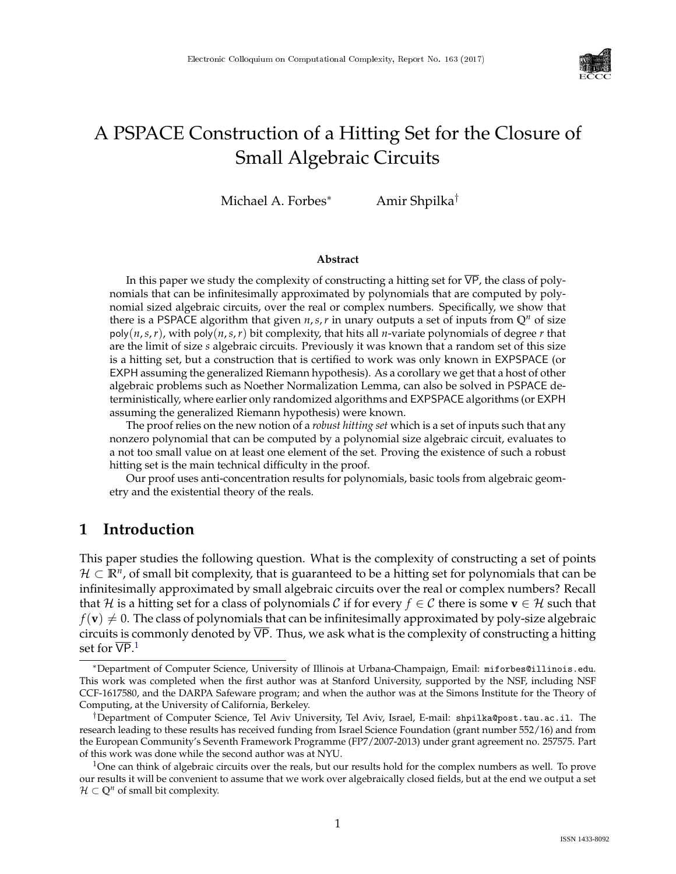

# A PSPACE Construction of a Hitting Set for the Closure of Small Algebraic Circuits

Michael A. Forbes<sup>∗</sup> Amir Shpilka†

#### **Abstract**

In this paper we study the complexity of constructing a hitting set for  $\overline{VP}$ , the class of polynomials that can be infinitesimally approximated by polynomials that are computed by polynomial sized algebraic circuits, over the real or complex numbers. Specifically, we show that there is a PSPACE algorithm that given  $n, s, r$  in unary outputs a set of inputs from  $\mathbb{Q}^n$  of size  $poly(n,s,r)$ , with  $poly(n,s,r)$  bit complexity, that hits all *n*-variate polynomials of degree *r* that are the limit of size *s* algebraic circuits. Previously it was known that a random set of this size is a hitting set, but a construction that is certified to work was only known in EXPSPACE (or EXPH assuming the generalized Riemann hypothesis). As a corollary we get that a host of other algebraic problems such as Noether Normalization Lemma, can also be solved in PSPACE deterministically, where earlier only randomized algorithms and EXPSPACE algorithms (or EXPH assuming the generalized Riemann hypothesis) were known.

The proof relies on the new notion of a *robust hitting set* which is a set of inputs such that any nonzero polynomial that can be computed by a polynomial size algebraic circuit, evaluates to a not too small value on at least one element of the set. Proving the existence of such a robust hitting set is the main technical difficulty in the proof.

Our proof uses anti-concentration results for polynomials, basic tools from algebraic geometry and the existential theory of the reals.

### **1 Introduction**

This paper studies the following question. What is the complexity of constructing a set of points  $\mathcal{H} \subset \mathbb{R}^n$ , of small bit complexity, that is guaranteed to be a hitting set for polynomials that can be infinitesimally approximated by small algebraic circuits over the real or complex numbers? Recall that H is a hitting set for a class of polynomials C if for every  $f \in C$  there is some  $\mathbf{v} \in H$  such that  $f(\mathbf{v}) \neq 0$ . The class of polynomials that can be infinitesimally approximated by poly-size algebraic circuits is commonly denoted by  $\overline{VP}$ . Thus, we ask what is the complexity of constructing a hitting set for  $\overline{\mathsf{VP}}$ .<sup>[1](#page-0-0)</sup>

<sup>∗</sup>Department of Computer Science, University of Illinois at Urbana-Champaign, Email: miforbes@illinois.edu. This work was completed when the first author was at Stanford University, supported by the NSF, including NSF CCF-1617580, and the DARPA Safeware program; and when the author was at the Simons Institute for the Theory of Computing, at the University of California, Berkeley.

<sup>†</sup>Department of Computer Science, Tel Aviv University, Tel Aviv, Israel, E-mail: shpilka@post.tau.ac.il. The research leading to these results has received funding from Israel Science Foundation (grant number 552/16) and from the European Community's Seventh Framework Programme (FP7/2007-2013) under grant agreement no. 257575. Part of this work was done while the second author was at NYU.

<span id="page-0-0"></span><sup>&</sup>lt;sup>1</sup>One can think of algebraic circuits over the reals, but our results hold for the complex numbers as well. To prove our results it will be convenient to assume that we work over algebraically closed fields, but at the end we output a set  $\mathcal{H} \subset \mathbb{Q}^n$  of small bit complexity.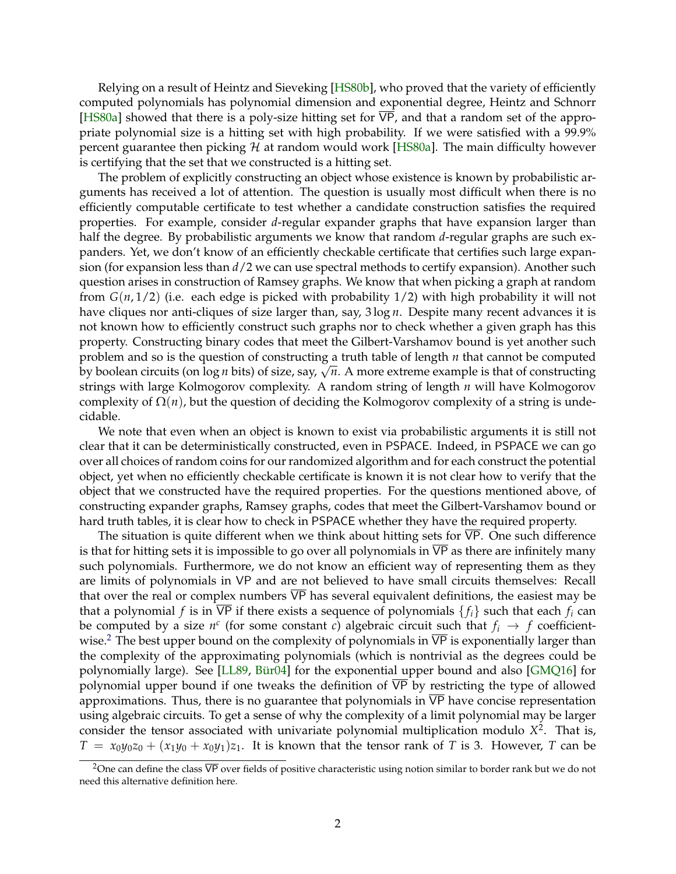Relying on a result of Heintz and Sieveking [\[HS80b\]](#page-22-0), who proved that the variety of efficiently computed polynomials has polynomial dimension and exponential degree, Heintz and Schnorr [\[HS80a\]](#page-22-1) showed that there is a poly-size hitting set for  $\overline{VP}$ , and that a random set of the appropriate polynomial size is a hitting set with high probability. If we were satisfied with a 99.9% percent guarantee then picking  $H$  at random would work [\[HS80a\]](#page-22-1). The main difficulty however is certifying that the set that we constructed is a hitting set.

The problem of explicitly constructing an object whose existence is known by probabilistic arguments has received a lot of attention. The question is usually most difficult when there is no efficiently computable certificate to test whether a candidate construction satisfies the required properties. For example, consider *d*-regular expander graphs that have expansion larger than half the degree. By probabilistic arguments we know that random *d*-regular graphs are such expanders. Yet, we don't know of an efficiently checkable certificate that certifies such large expansion (for expansion less than *d*/2 we can use spectral methods to certify expansion). Another such question arises in construction of Ramsey graphs. We know that when picking a graph at random from *G*(*n*, 1/2) (i.e. each edge is picked with probability 1/2) with high probability it will not have cliques nor anti-cliques of size larger than, say, 3 log *n*. Despite many recent advances it is not known how to efficiently construct such graphs nor to check whether a given graph has this property. Constructing binary codes that meet the Gilbert-Varshamov bound is yet another such problem and so is the question of constructing a truth table of length *n* that cannot be computed by boolean circuits (on log *<sup>n</sup>* bits) of size, say, <sup>√</sup> *n*. A more extreme example is that of constructing strings with large Kolmogorov complexity. A random string of length *n* will have Kolmogorov complexity of  $\Omega(n)$ , but the question of deciding the Kolmogorov complexity of a string is undecidable.

We note that even when an object is known to exist via probabilistic arguments it is still not clear that it can be deterministically constructed, even in PSPACE. Indeed, in PSPACE we can go over all choices of random coins for our randomized algorithm and for each construct the potential object, yet when no efficiently checkable certificate is known it is not clear how to verify that the object that we constructed have the required properties. For the questions mentioned above, of constructing expander graphs, Ramsey graphs, codes that meet the Gilbert-Varshamov bound or hard truth tables, it is clear how to check in PSPACE whether they have the required property.

The situation is quite different when we think about hitting sets for VP. One such difference is that for hitting sets it is impossible to go over all polynomials in VP as there are infinitely many such polynomials. Furthermore, we do not know an efficient way of representing them as they are limits of polynomials in VP and are not believed to have small circuits themselves: Recall that over the real or complex numbers  $\overline{VP}$  has several equivalent definitions, the easiest may be that a polynomial *f* is in  $\overline{VP}$  if there exists a sequence of polynomials  $\{f_i\}$  such that each  $f_i$  can be computed by a size  $n^c$  (for some constant *c*) algebraic circuit such that  $f_i \rightarrow f$  coefficient-wise.<sup>[2](#page-1-0)</sup> The best upper bound on the complexity of polynomials in  $\overline{VP}$  is exponentially larger than the complexity of the approximating polynomials (which is nontrivial as the degrees could be polynomially large). See [\[LL89,](#page-22-2) Bür04] for the exponential upper bound and also [\[GMQ16\]](#page-22-4) for polynomial upper bound if one tweaks the definition of  $\overline{VP}$  by restricting the type of allowed approximations. Thus, there is no guarantee that polynomials in  $\overline{VP}$  have concise representation using algebraic circuits. To get a sense of why the complexity of a limit polynomial may be larger consider the tensor associated with univariate polynomial multiplication modulo *X* 2 . That is,  $T = x_0y_0z_0 + (x_1y_0 + x_0y_1)z_1$ . It is known that the tensor rank of *T* is 3. However, *T* can be

<span id="page-1-0"></span> $2\overline{O}$  can define the class  $\overline{VP}$  over fields of positive characteristic using notion similar to border rank but we do not need this alternative definition here.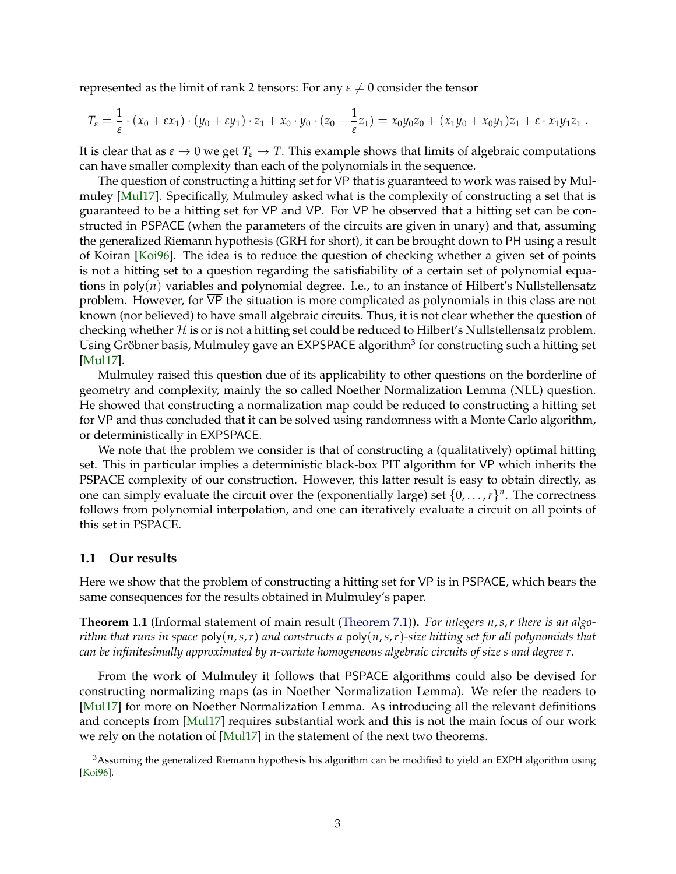represented as the limit of rank 2 tensors: For any  $\varepsilon \neq 0$  consider the tensor

$$
T_{\varepsilon} = \frac{1}{\varepsilon} \cdot (x_0 + \varepsilon x_1) \cdot (y_0 + \varepsilon y_1) \cdot z_1 + x_0 \cdot y_0 \cdot (z_0 - \frac{1}{\varepsilon} z_1) = x_0 y_0 z_0 + (x_1 y_0 + x_0 y_1) z_1 + \varepsilon \cdot x_1 y_1 z_1.
$$

It is clear that as  $\varepsilon \to 0$  we get  $T_{\varepsilon} \to T$ . This example shows that limits of algebraic computations can have smaller complexity than each of the polynomials in the sequence.

The question of constructing a hitting set for  $\overline{VP}$  that is guaranteed to work was raised by Mulmuley [\[Mul17\]](#page-22-5). Specifically, Mulmuley asked what is the complexity of constructing a set that is guaranteed to be a hitting set for VP and  $\overline{VP}$ . For VP he observed that a hitting set can be constructed in PSPACE (when the parameters of the circuits are given in unary) and that, assuming the generalized Riemann hypothesis (GRH for short), it can be brought down to PH using a result of Koiran [\[Koi96\]](#page-22-6). The idea is to reduce the question of checking whether a given set of points is not a hitting set to a question regarding the satisfiability of a certain set of polynomial equations in poly(*n*) variables and polynomial degree. I.e., to an instance of Hilbert's Nullstellensatz problem. However, for VP the situation is more complicated as polynomials in this class are not known (nor believed) to have small algebraic circuits. Thus, it is not clear whether the question of checking whether  $H$  is or is not a hitting set could be reduced to Hilbert's Nullstellensatz problem. Using Gröbner basis, Mulmuley gave an EXPSPACE algorithm $^3$  $^3$  for constructing such a hitting set [\[Mul17\]](#page-22-5).

Mulmuley raised this question due of its applicability to other questions on the borderline of geometry and complexity, mainly the so called Noether Normalization Lemma (NLL) question. He showed that constructing a normalization map could be reduced to constructing a hitting set for  $\overline{VP}$  and thus concluded that it can be solved using randomness with a Monte Carlo algorithm, or deterministically in EXPSPACE.

We note that the problem we consider is that of constructing a (qualitatively) optimal hitting set. This in particular implies a deterministic black-box PIT algorithm for VP which inherits the PSPACE complexity of our construction. However, this latter result is easy to obtain directly, as one can simply evaluate the circuit over the (exponentially large) set  $\{0, \ldots, r\}^n$ . The correctness follows from polynomial interpolation, and one can iteratively evaluate a circuit on all points of this set in PSPACE.

#### **1.1 Our results**

Here we show that the problem of constructing a hitting set for  $\overline{VP}$  is in PSPACE, which bears the same consequences for the results obtained in Mulmuley's paper.

**Theorem 1.1** (Informal statement of main result [\(Theorem 7.1\)](#page-20-0))**.** *For integers n*,*s*,*r there is an algorithm that runs in space* poly(*n*,*s*,*r*) *and constructs a* poly(*n*,*s*,*r*)*-size hitting set for all polynomials that can be infinitesimally approximated by n-variate homogeneous algebraic circuits of size s and degree r.*

From the work of Mulmuley it follows that PSPACE algorithms could also be devised for constructing normalizing maps (as in Noether Normalization Lemma). We refer the readers to [\[Mul17\]](#page-22-5) for more on Noether Normalization Lemma. As introducing all the relevant definitions and concepts from [\[Mul17\]](#page-22-5) requires substantial work and this is not the main focus of our work we rely on the notation of [\[Mul17\]](#page-22-5) in the statement of the next two theorems.

<span id="page-2-0"></span><sup>&</sup>lt;sup>3</sup>Assuming the generalized Riemann hypothesis his algorithm can be modified to yield an EXPH algorithm using [\[Koi96\]](#page-22-6).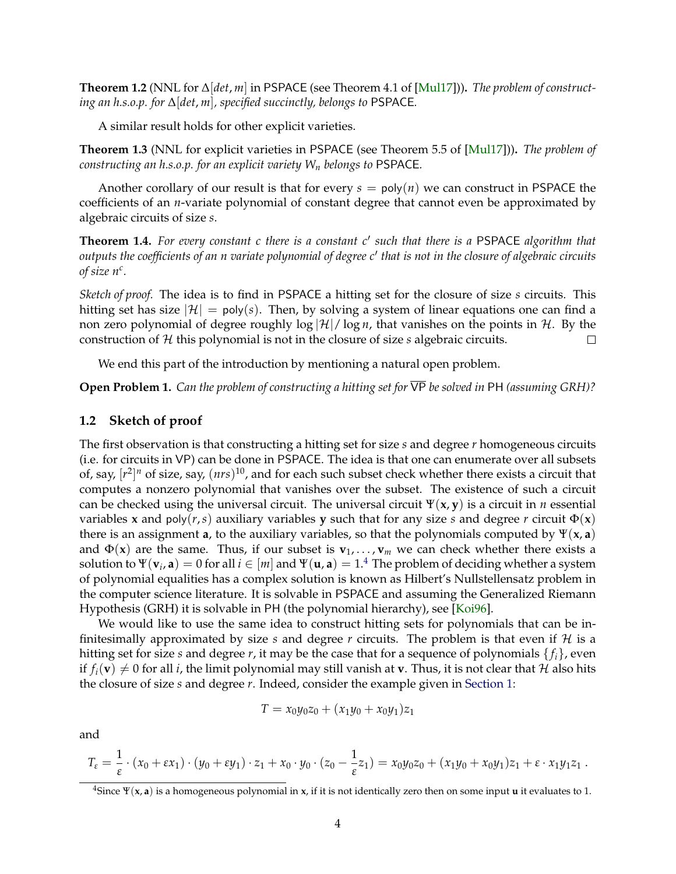**Theorem 1.2** (NNL for ∆[*det*, *m*] in PSPACE (see Theorem 4.1 of [\[Mul17\]](#page-22-5)))**.** *The problem of constructing an h.s.o.p. for* ∆[*det*, *m*]*, specified succinctly, belongs to* PSPACE*.*

A similar result holds for other explicit varieties.

**Theorem 1.3** (NNL for explicit varieties in PSPACE (see Theorem 5.5 of [\[Mul17\]](#page-22-5)))**.** *The problem of constructing an h.s.o.p. for an explicit variety W<sup>n</sup> belongs to* PSPACE*.*

Another corollary of our result is that for every  $s = poly(n)$  we can construct in PSPACE the coefficients of an *n*-variate polynomial of constant degree that cannot even be approximated by algebraic circuits of size *s*.

**Theorem 1.4.** *For every constant c there is a constant c*<sup>0</sup> *such that there is a* PSPACE *algorithm that* outputs the coefficients of an n variate polynomial of degree c' that is not in the closure of algebraic circuits *of size n<sup>c</sup> .*

*Sketch of proof.* The idea is to find in PSPACE a hitting set for the closure of size *s* circuits. This hitting set has size  $|\mathcal{H}| = \text{poly}(s)$ . Then, by solving a system of linear equations one can find a non zero polynomial of degree roughly  $\log |\mathcal{H}| / \log n$ , that vanishes on the points in H. By the construction of H this polynomial is not in the closure of size *s* algebraic circuits.  $\Box$ 

We end this part of the introduction by mentioning a natural open problem.

**Open Problem 1.** *Can the problem of constructing a hitting set for* VP *be solved in* PH *(assuming GRH)?*

#### **1.2 Sketch of proof**

The first observation is that constructing a hitting set for size *s* and degree *r* homogeneous circuits (i.e. for circuits in VP) can be done in PSPACE. The idea is that one can enumerate over all subsets of, say,  $[r^2]^n$  of size, say,  $(nrs)^{10}$ , and for each such subset check whether there exists a circuit that computes a nonzero polynomial that vanishes over the subset. The existence of such a circuit can be checked using the universal circuit. The universal circuit  $\Psi(x, y)$  is a circuit in *n* essential variables **x** and poly( $r, s$ ) auxiliary variables **y** such that for any size *s* and degree *r* circuit  $\Phi(\mathbf{x})$ there is an assignment **a**, to the auxiliary variables, so that the polynomials computed by  $\Psi(\mathbf{x}, \mathbf{a})$ and  $\Phi(\mathbf{x})$  are the same. Thus, if our subset is  $\mathbf{v}_1, \ldots, \mathbf{v}_m$  we can check whether there exists a solution to  $\Psi(\mathbf{v}_i, \mathbf{a})=0$  for all  $i\in[m]$  and  $\Psi(\mathbf{u}, \mathbf{a})=1.4$  $\Psi(\mathbf{u}, \mathbf{a})=1.4$  The problem of deciding whether a system of polynomial equalities has a complex solution is known as Hilbert's Nullstellensatz problem in the computer science literature. It is solvable in PSPACE and assuming the Generalized Riemann Hypothesis (GRH) it is solvable in PH (the polynomial hierarchy), see [\[Koi96\]](#page-22-6).

We would like to use the same idea to construct hitting sets for polynomials that can be infinitesimally approximated by size *s* and degree *r* circuits. The problem is that even if  $H$  is a hitting set for size *s* and degree *r*, it may be the case that for a sequence of polynomials  $\{f_i\}$ , even if  $f_i(\mathbf{v}) \neq 0$  for all *i*, the limit polynomial may still vanish at **v**. Thus, it is not clear that H also hits the closure of size *s* and degree *r*. Indeed, consider the example given in [Section 1:](#page--1-0)

$$
T = x_0 y_0 z_0 + (x_1 y_0 + x_0 y_1) z_1
$$

and

$$
T_{\varepsilon} = \frac{1}{\varepsilon} \cdot (x_0 + \varepsilon x_1) \cdot (y_0 + \varepsilon y_1) \cdot z_1 + x_0 \cdot y_0 \cdot (z_0 - \frac{1}{\varepsilon} z_1) = x_0 y_0 z_0 + (x_1 y_0 + x_0 y_1) z_1 + \varepsilon \cdot x_1 y_1 z_1.
$$

<span id="page-3-0"></span><sup>&</sup>lt;sup>4</sup>Since  $\Psi(x, a)$  is a homogeneous polynomial in x, if it is not identically zero then on some input **u** it evaluates to 1.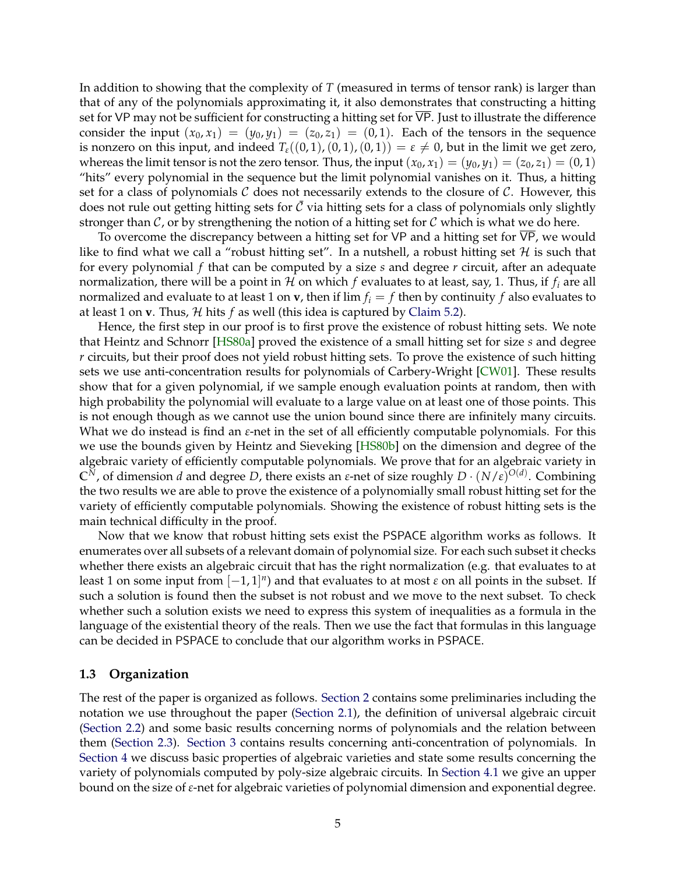In addition to showing that the complexity of *T* (measured in terms of tensor rank) is larger than that of any of the polynomials approximating it, it also demonstrates that constructing a hitting set for VP may not be sufficient for constructing a hitting set for VP. Just to illustrate the difference consider the input  $(x_0, x_1) = (y_0, y_1) = (z_0, z_1) = (0, 1)$ . Each of the tensors in the sequence is nonzero on this input, and indeed  $T_e((0,1),(0,1),(0,1)) = \varepsilon \neq 0$ , but in the limit we get zero, whereas the limit tensor is not the zero tensor. Thus, the input  $(x_0, x_1) = (y_0, y_1) = (z_0, z_1) = (0, 1)$ "hits" every polynomial in the sequence but the limit polynomial vanishes on it. Thus, a hitting set for a class of polynomials  $C$  does not necessarily extends to the closure of  $C$ . However, this does not rule out getting hitting sets for  $\bar{\mathcal{C}}$  via hitting sets for a class of polynomials only slightly stronger than  $C$ , or by strengthening the notion of a hitting set for  $C$  which is what we do here.

To overcome the discrepancy between a hitting set for VP and a hitting set for  $\overline{VP}$ , we would like to find what we call a "robust hitting set". In a nutshell, a robust hitting set  $H$  is such that for every polynomial *f* that can be computed by a size *s* and degree *r* circuit, after an adequate normalization, there will be a point in  $H$  on which  $f$  evaluates to at least, say, 1. Thus, if  $f_i$  are all normalized and evaluate to at least 1 on **v**, then if lim  $f_i = f$  then by continuity f also evaluates to at least 1 on **v**. Thus,  $H$  hits  $f$  as well (this idea is captured by [Claim 5.2\)](#page-16-0).

Hence, the first step in our proof is to first prove the existence of robust hitting sets. We note that Heintz and Schnorr [\[HS80a\]](#page-22-1) proved the existence of a small hitting set for size *s* and degree *r* circuits, but their proof does not yield robust hitting sets. To prove the existence of such hitting sets we use anti-concentration results for polynomials of Carbery-Wright [\[CW01\]](#page-22-7). These results show that for a given polynomial, if we sample enough evaluation points at random, then with high probability the polynomial will evaluate to a large value on at least one of those points. This is not enough though as we cannot use the union bound since there are infinitely many circuits. What we do instead is find an *ε*-net in the set of all efficiently computable polynomials. For this we use the bounds given by Heintz and Sieveking [\[HS80b\]](#page-22-0) on the dimension and degree of the algebraic variety of efficiently computable polynomials. We prove that for an algebraic variety in **C***N*, of dimension *d* and degree *D*, there exists an *ε*-net of size roughly *D* · (*N*/*ε*) *O*(*d*) . Combining the two results we are able to prove the existence of a polynomially small robust hitting set for the variety of efficiently computable polynomials. Showing the existence of robust hitting sets is the main technical difficulty in the proof.

Now that we know that robust hitting sets exist the PSPACE algorithm works as follows. It enumerates over all subsets of a relevant domain of polynomial size. For each such subset it checks whether there exists an algebraic circuit that has the right normalization (e.g. that evaluates to at least 1 on some input from  $[-1, 1]^n$ ) and that evaluates to at most  $\varepsilon$  on all points in the subset. If such a solution is found then the subset is not robust and we move to the next subset. To check whether such a solution exists we need to express this system of inequalities as a formula in the language of the existential theory of the reals. Then we use the fact that formulas in this language can be decided in PSPACE to conclude that our algorithm works in PSPACE.

#### **1.3 Organization**

The rest of the paper is organized as follows. [Section 2](#page-5-0) contains some preliminaries including the notation we use throughout the paper [\(Section 2.1\)](#page-5-1), the definition of universal algebraic circuit [\(Section 2.2\)](#page-5-2) and some basic results concerning norms of polynomials and the relation between them [\(Section 2.3\)](#page-6-0). [Section 3](#page-8-0) contains results concerning anti-concentration of polynomials. In [Section 4](#page-10-0) we discuss basic properties of algebraic varieties and state some results concerning the variety of polynomials computed by poly-size algebraic circuits. In [Section 4.1](#page-13-0) we give an upper bound on the size of *ε*-net for algebraic varieties of polynomial dimension and exponential degree.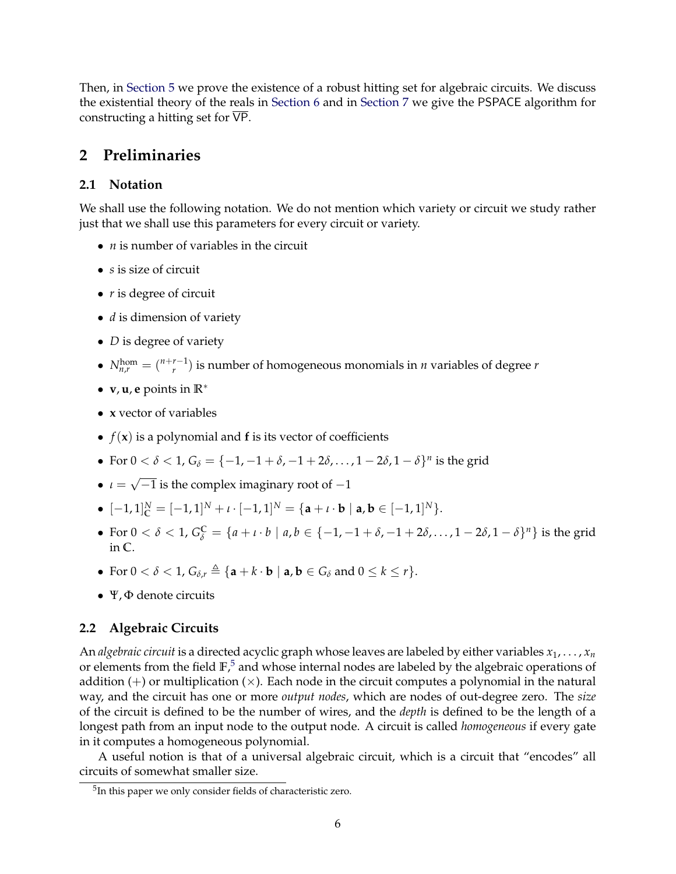Then, in [Section 5](#page-16-1) we prove the existence of a robust hitting set for algebraic circuits. We discuss the existential theory of the reals in [Section 6](#page-19-0) and in [Section 7](#page-20-1) we give the PSPACE algorithm for constructing a hitting set for VP.

### <span id="page-5-0"></span>**2 Preliminaries**

### <span id="page-5-1"></span>**2.1 Notation**

We shall use the following notation. We do not mention which variety or circuit we study rather just that we shall use this parameters for every circuit or variety.

- *n* is number of variables in the circuit
- *s* is size of circuit
- *r* is degree of circuit
- *d* is dimension of variety
- *D* is degree of variety
- $N_{n,r}^{\text{hom}} = \binom{n+r-1}{r}$  $\binom{r-1}{r}$  is number of homogeneous monomials in *n* variables of degree *r*
- **v**, **u**, **e** points in **R**<sup>∗</sup>
- **x** vector of variables
- $f(x)$  is a polynomial and **f** is its vector of coefficients
- For  $0 < \delta < 1$ ,  $G_{\delta} = \{-1, -1 + \delta, -1 + 2\delta, \dots, 1 2\delta, 1 \delta\}^n$  is the grid
- $\bullet$   $\iota =$ √  $\overline{-1}$  is the complex imaginary root of  $-1$
- $\bullet$   $[-1, 1]$ <sup>*N*</sup> =  $[-1, 1]$ <sup>*N*</sup> + *ι* ·  $[-1, 1]$ <sup>*N*</sup> = {**a** + *ι* · **b** | **a**, **b** ∈  $[-1, 1]$ <sup>*N*</sup>}.
- For 0 < *δ* < 1,  $G^C$ <sub>*δ*</sub> = {*a* + *ι* · *b* | *a*, *b* ∈ {−1, −1 + *δ*, −1 + 2*δ*, . . . , 1 − 2*δ*, 1 − *δ*}<sup>*n*</sup>} is the grid in **C**.
- For  $0 < \delta < 1$ ,  $G_{\delta,r} \triangleq {\mathbf{a} + k \cdot \mathbf{b} \mid \mathbf{a}, \mathbf{b} \in G_{\delta}}$  and  $0 \leq k \leq r$ .
- Ψ, Φ denote circuits

#### <span id="page-5-2"></span>**2.2 Algebraic Circuits**

An *algebraic circuit* is a directed acyclic graph whose leaves are labeled by either variables  $x_1, \ldots, x_n$ or elements from the field **F**, [5](#page-5-3) and whose internal nodes are labeled by the algebraic operations of addition  $(+)$  or multiplication  $(\times)$ . Each node in the circuit computes a polynomial in the natural way, and the circuit has one or more *output nodes*, which are nodes of out-degree zero. The *size* of the circuit is defined to be the number of wires, and the *depth* is defined to be the length of a longest path from an input node to the output node. A circuit is called *homogeneous* if every gate in it computes a homogeneous polynomial.

A useful notion is that of a universal algebraic circuit, which is a circuit that "encodes" all circuits of somewhat smaller size.

<span id="page-5-3"></span><sup>&</sup>lt;sup>5</sup>In this paper we only consider fields of characteristic zero.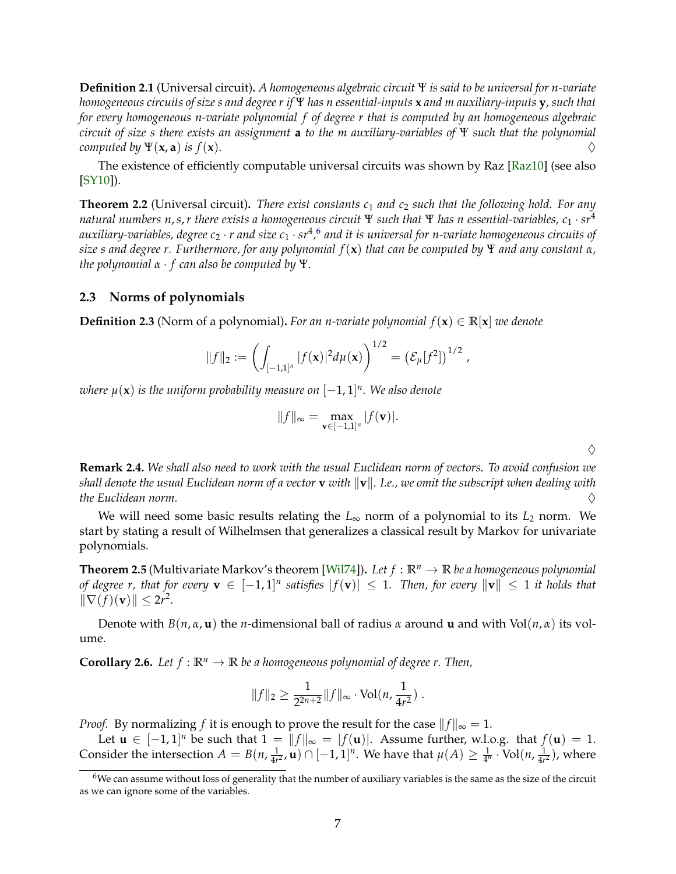**Definition 2.1** (Universal circuit)**.** *A homogeneous algebraic circuit* Ψ *is said to be universal for n-variate homogeneous circuits of size s and degree r if* Ψ *has n essential-inputs* **x** *and m auxiliary-inputs* **y***, such that for every homogeneous n-variate polynomial f of degree r that is computed by an homogeneous algebraic circuit of size s there exists an assignment* **a** *to the m auxiliary-variables of* Ψ *such that the polynomial computed by*  $\Psi(\mathbf{x}, \mathbf{a})$  *is f*(**x**).

The existence of efficiently computable universal circuits was shown by Raz [\[Raz10\]](#page-22-8) (see also [\[SY10\]](#page--1-1)).

<span id="page-6-4"></span>**Theorem 2.2** (Universal circuit)**.** *There exist constants c*<sup>1</sup> *and c*<sup>2</sup> *such that the following hold. For any natural numbers n*,*s*,*r there exists a homogeneous circuit* Ψ *such that* Ψ *has n essential-variables, c*<sup>1</sup> · *sr*<sup>4</sup> auxiliary-variables, degree c<sub>2</sub>  $\cdot$  r and size c<sub>1</sub>  $\cdot$  sr<sup>4</sup>,<sup>[6](#page-6-1)</sup> and it is universal for n-variate homogeneous circuits of *size s and degree r. Furthermore, for any polynomial f*(**x**) *that can be computed by* Ψ *and any constant α, the polynomial α* · *f can also be computed by* Ψ*.*

### <span id="page-6-0"></span>**2.3 Norms of polynomials**

**Definition 2.3** (Norm of a polynomial). *For an n-variate polynomial*  $f(x) \in \mathbb{R}[x]$  *we denote* 

$$
||f||_2 := \left(\int_{[-1,1]^n} |f(\mathbf{x})|^2 d\mu(\mathbf{x})\right)^{1/2} = \left(\mathcal{E}_{\mu}[f^2]\right)^{1/2},
$$

 $\mu(\mathbf{x})$  is the uniform probability measure on  $[-1,1]^n.$  We also denote

$$
||f||_{\infty} = \max_{\mathbf{v} \in [-1,1]^n} |f(\mathbf{v})|.
$$

 $\Diamond$ 

**Remark 2.4.** *We shall also need to work with the usual Euclidean norm of vectors. To avoid confusion we shall denote the usual Euclidean norm of a vector* **v** *with*  $\|\mathbf{v}\|$ . I.e., we omit the subscript when dealing with *the Euclidean norm.*  $\diamondsuit$ 

We will need some basic results relating the  $L_{\infty}$  norm of a polynomial to its  $L_2$  norm. We start by stating a result of Wilhelmsen that generalizes a classical result by Markov for univariate polynomials.

<span id="page-6-2"></span>**Theorem 2.5** (Multivariate Markov's theorem [\[Wil74\]](#page--1-2)). Let  $f : \mathbb{R}^n \to \mathbb{R}$  be a homogeneous polynomial *of degree r, that for every*  $\mathbf{v}$  ∈  $[-1,1]^n$  satisfies  $|f(\mathbf{v})|$  ≤ 1. Then, for every  $\|\mathbf{v}\|$  ≤ 1 it holds that  $\|\nabla(f)(\mathbf{v})\| \leq 2r^2$ .

Denote with *B*(*n*, *α*, **u**) the *n*-dimensional ball of radius *α* around **u** and with Vol(*n*, *α*) its volume.

<span id="page-6-3"></span>**Corollary 2.6.** *Let*  $f : \mathbb{R}^n \to \mathbb{R}$  *be a homogeneous polynomial of degree r. Then,* 

$$
||f||_2 \geq \frac{1}{2^{2n+2}}||f||_{\infty} \cdot \text{Vol}(n, \frac{1}{4r^2}).
$$

*Proof.* By normalizing *f* it is enough to prove the result for the case  $||f||_{\infty} = 1$ .

Let  $\mathbf{u} \in [-1,1]^n$  be such that  $1 = ||f||_{\infty} = |f(\mathbf{u})|$ . Assume further, w.l.o.g. that  $f(\mathbf{u}) = 1$ . Consider the intersection  $A = B(n, \frac{1}{4n})$  $\frac{1}{4r^2}$ , **u**)  $\cap$   $[-1,1]^n$ . We have that  $\mu(A) \geq \frac{1}{4^n} \cdot \text{Vol}(n, \frac{1}{4r})$  $\frac{1}{4r^2}$ ), where

<span id="page-6-1"></span> $6$ We can assume without loss of generality that the number of auxiliary variables is the same as the size of the circuit as we can ignore some of the variables.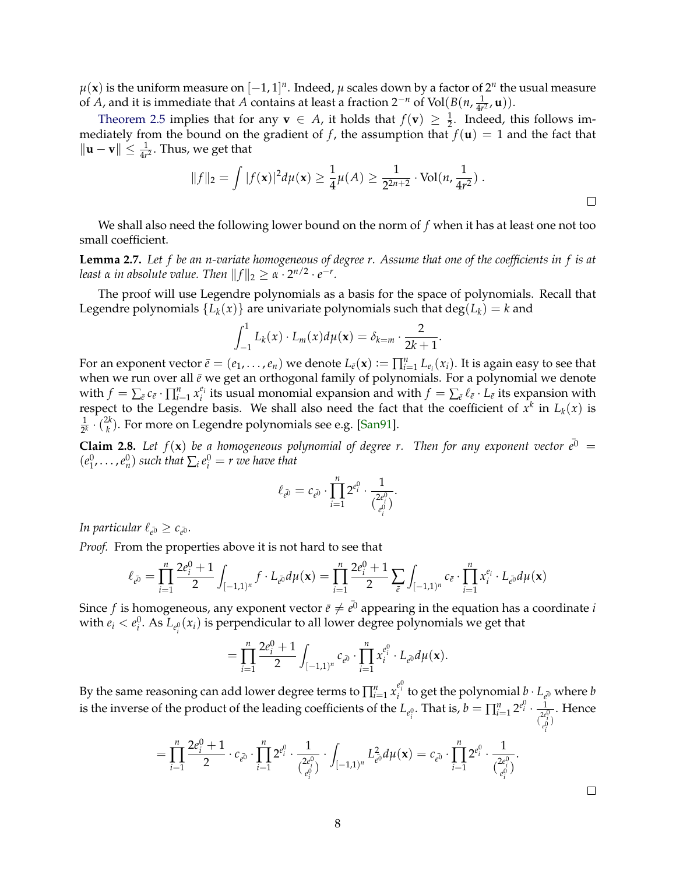$\mu(\mathbf{x})$  is the uniform measure on  $[-1,1]^n.$  Indeed,  $\mu$  scales down by a factor of  $2^n$  the usual measure of *A*, and it is immediate that *A* contains at least a fraction 2−*<sup>n</sup>* of Vol(*B*(*n*, 1  $\frac{1}{4r^2}$ **, u**)).

[Theorem 2.5](#page-6-2) implies that for any **v**  $\in$  *A*, it holds that  $f(\mathbf{v}) \geq \frac{1}{2}$ . Indeed, this follows immediately from the bound on the gradient of *f*, the assumption that  $f(\mathbf{u}) = 1$  and the fact that  $\|\mathbf{u} - \mathbf{v}\| \leq \frac{1}{4r^2}.$  Thus, we get that

$$
||f||_2 = \int |f(\mathbf{x})|^2 d\mu(\mathbf{x}) \ge \frac{1}{4}\mu(A) \ge \frac{1}{2^{2n+2}} \cdot \text{Vol}(n, \frac{1}{4r^2}).
$$

We shall also need the following lower bound on the norm of *f* when it has at least one not too small coefficient.

<span id="page-7-0"></span>**Lemma 2.7.** *Let f be an n-variate homogeneous of degree r. Assume that one of the coefficients in f is at least α in absolute value. Then*  $||f||_2 \ge \alpha \cdot 2^{n/2} \cdot e^{-r}$ *.* 

The proof will use Legendre polynomials as a basis for the space of polynomials. Recall that Legendre polynomials  ${L_k(x)}$  are univariate polynomials such that  $deg(L_k) = k$  and

$$
\int_{-1}^1 L_k(x) \cdot L_m(x) d\mu(\mathbf{x}) = \delta_{k=m} \cdot \frac{2}{2k+1}.
$$

For an exponent vector  $\bar{e}=(e_1,\ldots,e_n)$  we denote  $L_{\bar{e}}(\mathbf{x}):=\prod_{i=1}^n L_{e_i}(x_i)$ . It is again easy to see that when we run over all  $\bar{e}$  we get an orthogonal family of polynomials. For a polynomial we denote with  $f = \sum_{\bar{e}} c_{\bar{e}} \cdot \prod_{i=1}^{n} x_i^{e_i}$  $e_i$  its usual monomial expansion and with  $f = \sum_{\bar{e}} \ell_{\bar{e}} \cdot L_{\bar{e}}$  its expansion with respect to the Legendre basis. We shall also need the fact that the coefficient of  $x^k$  in  $L_k(x)$  is 1  $rac{1}{2^k} \cdot \binom{2k}{k}$  $\binom{2k}{k}$ . For more on Legendre polynomials see e.g. [\[San91\]](#page-22-9).

**Claim 2.8.** Let  $f(\mathbf{x})$  be a homogeneous polynomial of degree r. Then for any exponent vector  $\bar{e}^0$  =  $(e_1^0, \ldots, e_n^0)$  *such that*  $\sum_i e_i^0 = r$  *we have that* 

$$
\ell_{\bar{e^0}}=c_{\bar{e^0}}\cdot\prod_{i=1}^n 2^{e^0_i}\cdot\frac{1}{\binom{2e^0_i}{e^0_i}}.
$$

In particular  $\ell_{\bar{e^0}} \geq c_{\bar{e^0}}$ .

*Proof.* From the properties above it is not hard to see that

$$
\ell_{e^{\bar{0}}} = \prod_{i=1}^{n} \frac{2e_i^0 + 1}{2} \int_{[-1,1)^n} f \cdot L_{e^{\bar{0}}} d\mu(\mathbf{x}) = \prod_{i=1}^{n} \frac{2e_i^0 + 1}{2} \sum_{\bar{e}} \int_{[-1,1)^n} c_{\bar{e}} \cdot \prod_{i=1}^{n} x_i^{e_i} \cdot L_{e^{\bar{0}}} d\mu(\mathbf{x})
$$

Since  $f$  is homogeneous, any exponent vector  $\bar{e}\neq \bar{e^0}$  appearing in the equation has a coordinate  $i$ with  $e_i < e_i^0$ . As  $L_{e_i^0}(x_i)$  is perpendicular to all lower degree polynomials we get that

$$
= \prod_{i=1}^n \frac{2e_i^0 + 1}{2} \int_{[-1,1)^n} c_{\bar{e}^0} \cdot \prod_{i=1}^n x_i^{e_i^0} \cdot L_{\bar{e}^0} d\mu(\mathbf{x}).
$$

By the same reasoning can add lower degree terms to  $\prod_{i=1}^n x_i^{e_i^0}$  to get the polynomial  $\phi\cdot L_{e^0}$  where  $b$ is the inverse of the product of the leading coefficients of the  $L_{e_i^0}.$  That is,  $b=\prod_{i=1}^n2^{e_i^0}\cdot\frac{1}{2^{e_i^0}}$  $\binom{2e_i^0}{e_0^0}$ *e i* . Hence

$$
= \prod_{i=1}^n \frac{2e_i^0 + 1}{2} \cdot c_{\bar{e^0}} \cdot \prod_{i=1}^n 2^{e_i^0} \cdot \frac{1}{\binom{2e_i^0}{e_i^0}} \cdot \int_{[-1,1)^n} L_{\bar{e^0}}^2 d\mu(\mathbf{x}) = c_{\bar{e^0}} \cdot \prod_{i=1}^n 2^{e_i^0} \cdot \frac{1}{\binom{2e_i^0}{e_i^0}}.
$$

 $\Box$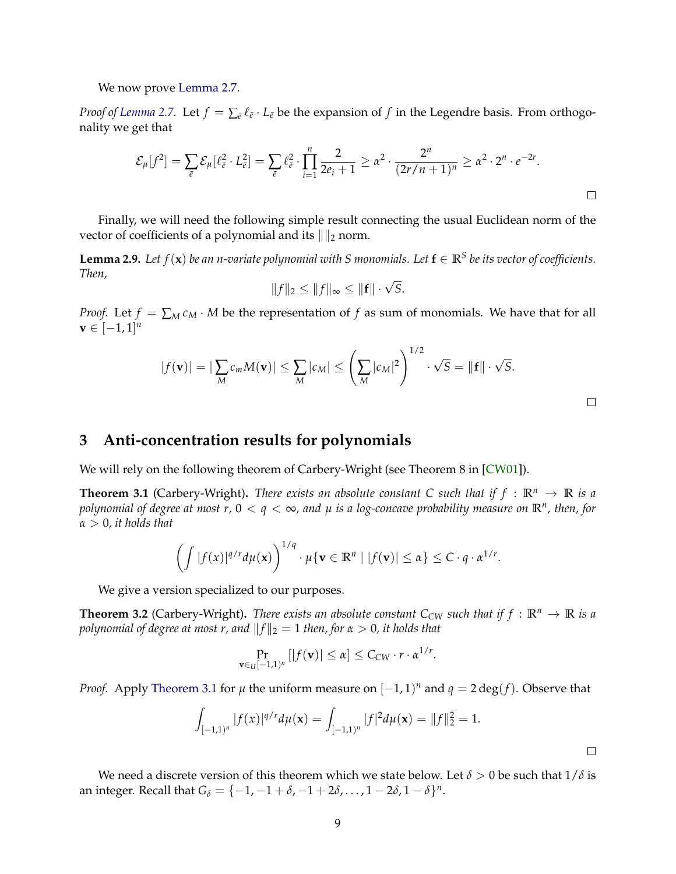We now prove [Lemma 2.7.](#page-7-0)

*Proof of [Lemma 2.7.](#page-7-0)* Let  $f = \sum_{\bar{e}} \ell_{\bar{e}} \cdot L_{\bar{e}}$  be the expansion of  $f$  in the Legendre basis. From orthogonality we get that

$$
\mathcal{E}_{\mu}[f^{2}] = \sum_{\bar{e}} \mathcal{E}_{\mu}[\ell_{\bar{e}}^{2} \cdot L_{\bar{e}}^{2}] = \sum_{\bar{e}} \ell_{\bar{e}}^{2} \cdot \prod_{i=1}^{n} \frac{2}{2e_{i}+1} \geq \alpha^{2} \cdot \frac{2^{n}}{(2r/n+1)^{n}} \geq \alpha^{2} \cdot 2^{n} \cdot e^{-2r}.
$$

Finally, we will need the following simple result connecting the usual Euclidean norm of the vector of coefficients of a polynomial and its  $\|\|_2$  norm.

<span id="page-8-4"></span>**Lemma 2.9.** Let  $f(\mathbf{x})$  be an n-variate polynomial with S monomials. Let  $\mathbf{f} \in \mathbb{R}^S$  be its vector of coefficients. *Then,*

$$
||f||_2 \leq ||f||_{\infty} \leq ||\mathbf{f}|| \cdot \sqrt{S}.
$$

*Proof.* Let  $f = \sum_M c_M \cdot M$  be the representation of f as sum of monomials. We have that for all  $\mathbf{v} \in [-1,1]^n$ 

$$
|f(\mathbf{v})| = |\sum_{M} c_m M(\mathbf{v})| \leq \sum_{M} |c_M| \leq \left(\sum_{M} |c_M|^2\right)^{1/2} \cdot \sqrt{S} = ||\mathbf{f}|| \cdot \sqrt{S}.
$$

 $\Box$ 

 $\Box$ 

### <span id="page-8-0"></span>**3 Anti-concentration results for polynomials**

We will rely on the following theorem of Carbery-Wright (see Theorem 8 in [\[CW01\]](#page-22-7)).

<span id="page-8-1"></span>**Theorem 3.1** (Carbery-Wright). There exists an absolute constant C such that if  $f : \mathbb{R}^n \to \mathbb{R}$  is a *polynomial of degree at most r,* 0 < *q* < ∞*, and µ is a log-concave probability measure on* **R***<sup>n</sup> , then, for α* > 0*, it holds that*

$$
\left(\int |f(x)|^{q/r}d\mu(\mathbf{x})\right)^{1/q}\cdot \mu\{\mathbf{v}\in\mathbb{R}^n\mid |f(\mathbf{v})|\leq \alpha\}\leq C\cdot q\cdot \alpha^{1/r}.
$$

We give a version specialized to our purposes.

<span id="page-8-2"></span>**Theorem 3.2** (Carbery-Wright). There exists an absolute constant  $C_{CW}$  such that if  $f : \mathbb{R}^n \to \mathbb{R}$  is a *polynomial of degree at most r, and*  $||f||_2 = 1$  *then, for*  $\alpha > 0$ *, it holds that* 

$$
\Pr_{\mathbf{v}\in_{\mathcal{U}}[-1,1)^n}[|f(\mathbf{v})|\leq \alpha]\leq C_{CW}\cdot r\cdot \alpha^{1/r}.
$$

*Proof.* Apply [Theorem 3.1](#page-8-1) for  $\mu$  the uniform measure on  $[-1,1)^n$  and  $q = 2 \deg(f)$ . Observe that

$$
\int_{[-1,1)^n} |f(x)|^{q/r} d\mu(\mathbf{x}) = \int_{[-1,1)^n} |f|^2 d\mu(\mathbf{x}) = ||f||_2^2 = 1.
$$

<span id="page-8-3"></span>We need a discrete version of this theorem which we state below. Let  $\delta > 0$  be such that  $1/\delta$  is an integer. Recall that  $G_{\delta} = \{-1, -1 + \delta, -1 + 2\delta, \dots, 1 - 2\delta, 1 - \delta\}^n$ .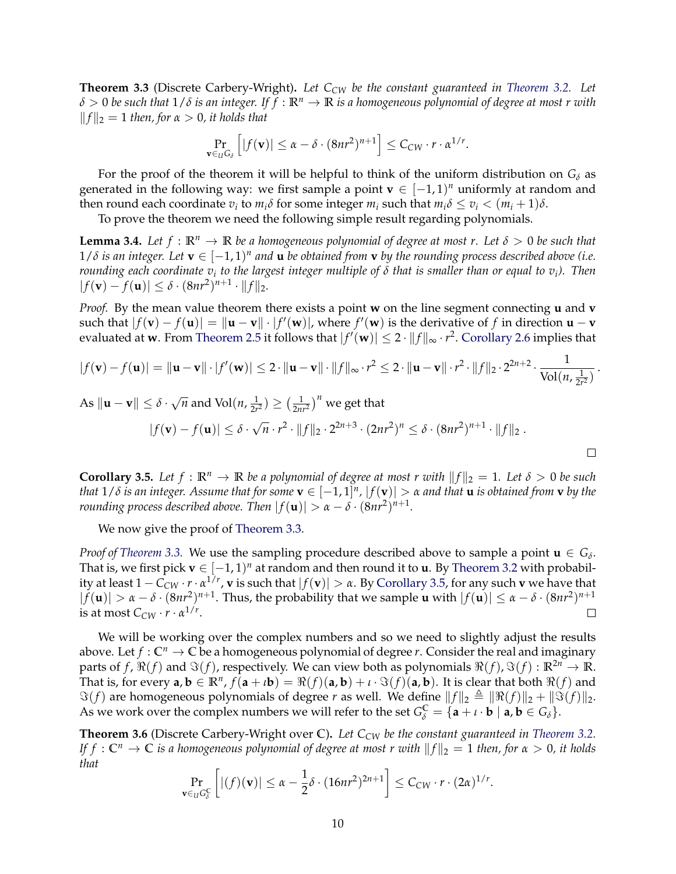**Theorem 3.3** (Discrete Carbery-Wright)**.** *Let CCW be the constant guaranteed in [Theorem 3.2.](#page-8-2) Let δ* > 0 *be such that* 1/*δ is an integer. If f* : **R***<sup>n</sup>* → **R** *is a homogeneous polynomial of degree at most r with*  $||f||_2 = 1$  *then, for*  $\alpha > 0$ *, it holds that* 

$$
\Pr_{\mathbf{v}\in_{U}G_{\delta}}\left[|f(\mathbf{v})|\leq \alpha-\delta\cdot(8nr^{2})^{n+1}\right]\leq C_{CW}\cdot r\cdot\alpha^{1/r}.
$$

For the proof of the theorem it will be helpful to think of the uniform distribution on  $G_{\delta}$  as generated in the following way: we first sample a point  $\mathbf{v} \in [-1,1)^n$  uniformly at random and then round each coordinate  $v_i$  to  $m_i\delta$  for some integer  $m_i$  such that  $m_i\delta \le v_i < (m_i+1)\delta$ .

To prove the theorem we need the following simple result regarding polynomials.

**Lemma 3.4.** *Let*  $f : \mathbb{R}^n \to \mathbb{R}$  *be a homogeneous polynomial of degree at most r. Let*  $\delta > 0$  *be such that*  $1/\delta$  is an integer. Let  $\mathbf{v} \in [-1,1)^n$  and  $\mathbf{u}$  be obtained from  $\mathbf{v}$  by the rounding process described above (i.e. *rounding each coordinate v<sup>i</sup> to the largest integer multiple of δ that is smaller than or equal to v<sup>i</sup> ). Then*  $|f(\mathbf{v}) - f(\mathbf{u})| \leq \delta \cdot (8nr^2)^{n+1} \cdot ||f||_2.$ 

*Proof.* By the mean value theorem there exists a point **w** on the line segment connecting **u** and **v** such that  $|f(\mathbf{v}) - f(\mathbf{u})| = ||\mathbf{u} - \mathbf{v}|| \cdot |f'(\mathbf{w})|$ , where  $f'(\mathbf{w})$  is the derivative of f in direction  $\mathbf{u} - \mathbf{v}$ evaluated at **w**. From [Theorem 2.5](#page-6-2) it follows that  $|f'(\mathbf{w})| \leq 2 \cdot \|f\|_{\infty} \cdot r^2$ . [Corollary 2.6](#page-6-3) implies that

$$
|f(\mathbf{v}) - f(\mathbf{u})| = \|\mathbf{u} - \mathbf{v}\| \cdot |f'(\mathbf{w})| \le 2 \cdot \|\mathbf{u} - \mathbf{v}\| \cdot \|f\|_{\infty} \cdot r^2 \le 2 \cdot \|\mathbf{u} - \mathbf{v}\| \cdot r^2 \cdot \|f\|_2 \cdot 2^{2n+2} \cdot \frac{1}{\text{Vol}(n, \frac{1}{2r^2})}.
$$

As 
$$
\|\mathbf{u} - \mathbf{v}\| \le \delta \cdot \sqrt{n}
$$
 and  $\text{Vol}(n, \frac{1}{2r^2}) \ge (\frac{1}{2nr^2})^n$  we get that  
\n $|f(\mathbf{v}) - f(\mathbf{u})| \le \delta \cdot \sqrt{n} \cdot r^2 \cdot ||f||_2 \cdot 2^{2n+3} \cdot (2nr^2)^n \le \delta \cdot (8nr^2)^{n+1} \cdot ||f||_2$ .

<span id="page-9-0"></span>**Corollary 3.5.** Let  $f : \mathbb{R}^n \to \mathbb{R}$  be a polynomial of degree at most r with  $||f||_2 = 1$ . Let  $\delta > 0$  be such *that*  $1/\delta$  *is an integer. Assume that for some*  $\mathbf{v} \in [-1,1]^n$ *,*  $|f(\mathbf{v})| > \alpha$  *and that*  $\mathbf{u}$  *is obtained from*  $\mathbf{v}$  *by the rounding process described above. Then*  $|f(\mathbf{u})| > \alpha - \delta \cdot (8nr^2)^{n+1}$ .

We now give the proof of [Theorem 3.3.](#page-8-3)

*Proof of [Theorem 3.3.](#page-8-3)* We use the sampling procedure described above to sample a point  $\mathbf{u} \in G_{\delta}$ . That is, we first pick  $\mathbf{v} \in [-1, 1)^n$  at random and then round it to **u**. By [Theorem 3.2](#page-8-2) with probability at least  $1 - C_{CW} \cdot r \cdot \alpha^{1/r}$ ,  ${\bf v}$  is such that  $|f({\bf v})| > \alpha$ . By [Corollary 3.5,](#page-9-0) for any such  ${\bf v}$  we have that  $|f(\mathbf{u})| > \alpha - \delta \cdot (8nr^2)^{n+1}$ . Thus, the probability that we sample **u** with  $|f(\mathbf{u})| \le \alpha - \delta \cdot (8nr^2)^{n+1}$ is at most  $C_{CW} \cdot r \cdot \alpha^{1/r}$ .  $\Box$ 

We will be working over the complex numbers and so we need to slightly adjust the results above. Let  $f: \mathbb{C}^n \to \mathbb{C}$  be a homogeneous polynomial of degree *r*. Consider the real and imaginary parts of *f*,  $\Re(f)$  and  $\Im(f)$ , respectively. We can view both as polynomials  $\Re(f)$ ,  $\Im(f) : \mathbb{R}^{2n} \to \mathbb{R}$ . That is, for every  $a, b \in \mathbb{R}^n$ ,  $f(a + \iota b) = \Re(f)(a, b) + \iota \cdot \Im(f)(a, b)$ . It is clear that both  $\Re(f)$  and  $\Im(f)$  are homogeneous polynomials of degree *r* as well. We define  $||f||_2 \triangleq ||\Re(f)||_2 + ||\Im(f)||_2$ . As we work over the complex numbers we will refer to the set  $G_{\delta}^{\mathbb{C}} = {\mathbf{a} + \iota \cdot \mathbf{b} \mid \mathbf{a}, \mathbf{b} \in G_{\delta}}.$ 

<span id="page-9-1"></span>**Theorem 3.6** (Discrete Carbery-Wright over **C**)**.** *Let CCW be the constant guaranteed in [Theorem 3.2.](#page-8-2) If*  $f: \mathbb{C}^n \to \mathbb{C}$  *is a homogeneous polynomial of degree at most r with*  $||f||_2 = 1$  *then, for*  $\alpha > 0$ *, it holds that*

$$
\Pr_{\mathbf{v}\in_{U}G_{\delta}^{\mathbb{C}}}\left[|(f)(\mathbf{v})|\leq \alpha-\frac{1}{2}\delta\cdot(16nr^{2})^{2n+1}\right]\leq C_{CW}\cdot r\cdot(2\alpha)^{1/r}.
$$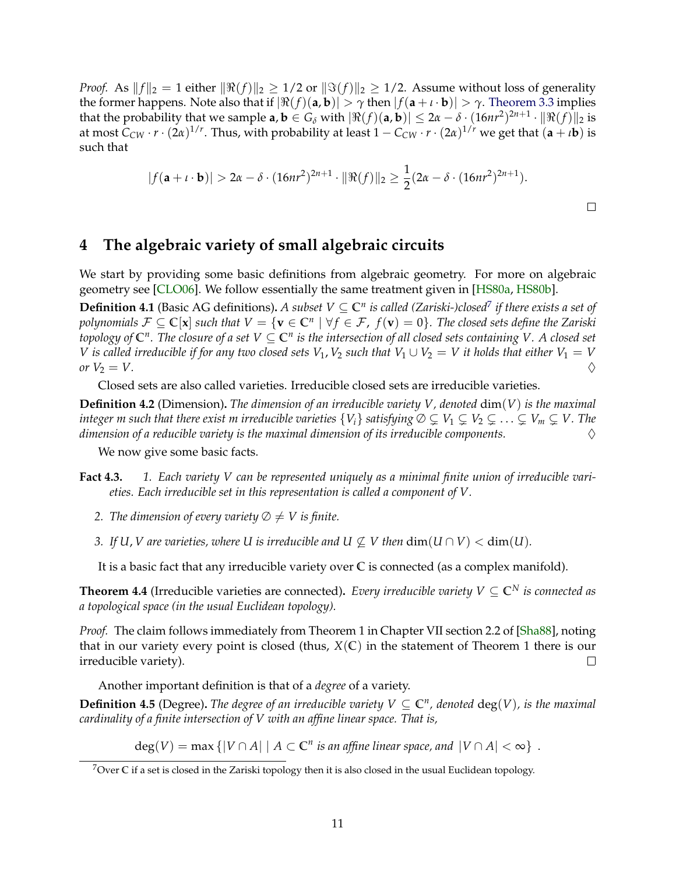*Proof.* As  $||f||_2 = 1$  either  $||\Re(f)||_2 \ge 1/2$  or  $||\Im(f)||_2 \ge 1/2$ . Assume without loss of generality the former happens. Note also that if  $|\Re(f)(a, b)| > \gamma$  then  $|f(a + \iota \cdot b)| > \gamma$ . [Theorem 3.3](#page-8-3) implies that the probability that we sample  $a, b \in G_\delta$  with  $|\Re(f)(a, b)| \leq 2\alpha - \delta \cdot (16nr^2)^{2n+1} \cdot \|\Re(f)\|_2$  is at most  $C_{CW}\cdot r\cdot(2\alpha)^{1/r}.$  Thus, with probability at least  $1-C_{CW}\cdot r\cdot(2\alpha)^{1/r}$  we get that  $({\bf a}+\iota{\bf b})$  is such that

$$
|f(\mathbf{a} + \iota \cdot \mathbf{b})| > 2\alpha - \delta \cdot (16nr^2)^{2n+1} \cdot ||\Re(f)||_2 \ge \frac{1}{2}(2\alpha - \delta \cdot (16nr^2)^{2n+1}).
$$

### <span id="page-10-0"></span>**4 The algebraic variety of small algebraic circuits**

We start by providing some basic definitions from algebraic geometry. For more on algebraic geometry see [\[CLO06\]](#page-22-10). We follow essentially the same treatment given in [\[HS80a,](#page-22-1) [HS80b\]](#page-22-0).

**Definition 4.1** (Basic AG definitions). *A subset*  $V\subseteq\mathbb{C}^n$  *is called (Zariski-)closed<sup>[7](#page-10-1)</sup> if there exists a set of*  $p$ olynomials  $\mathcal{F} \subseteq \mathbb{C}[\mathbf{x}]$  such that  $V = \{\mathbf{v} \in \mathbb{C}^n \mid \forall f \in \mathcal{F},\ f(\mathbf{v}) = 0\}.$  The closed sets define the Zariski  $t$ opology of  $\mathbb{C}^n$ . The closure of a set  $V\subseteq\mathbb{C}^n$  is the intersection of all closed sets containing  $V.$  A closed set *V* is called irreducible if for any two closed sets  $V_1$ ,  $V_2$  such that  $V_1 \cup V_2 = V$  it holds that either  $V_1 = V$ *or*  $V_2 = V$ .

Closed sets are also called varieties. Irreducible closed sets are irreducible varieties.

**Definition 4.2** (Dimension)**.** *The dimension of an irreducible variety V, denoted* dim(*V*) *is the maximal integer m such that there exist m irreducible varieties*  $\{V_i\}$  *satisfying*  $\emptyset \subsetneq V_1 \subsetneq V_2 \subsetneq \ldots \subsetneq V_m \subsetneq V$ . The *dimension of a reducible variety is the maximal dimension of its irreducible components.* ♦

We now give some basic facts.

- **Fact 4.3.** *1. Each variety V can be represented uniquely as a minimal finite union of irreducible varieties. Each irreducible set in this representation is called a component of V.*
	- *2. The dimension of every variety*  $\emptyset \neq V$  *is finite.*
	- *3. If*  $U$ ,  $V$  are varieties, where  $U$  is irreducible and  $U \nsubseteq V$  then  $\dim(U \cap V) < \dim(U)$ .

It is a basic fact that any irreducible variety over **C** is connected (as a complex manifold).

<span id="page-10-2"></span>**Theorem 4.4** (Irreducible varieties are connected). *Every irreducible variety*  $V \subseteq \mathbb{C}^N$  *is connected as a topological space (in the usual Euclidean topology).*

*Proof.* The claim follows immediately from Theorem 1 in Chapter VII section 2.2 of [\[Sha88\]](#page-22-11), noting that in our variety every point is closed (thus,  $X(\mathbb{C})$  in the statement of Theorem 1 there is our irreducible variety).  $\Box$ 

Another important definition is that of a *degree* of a variety.

**Definition 4.5** (Degree). The degree of an irreducible variety  $V \subseteq \mathbb{C}^n$ , denoted  $deg(V)$ , is the maximal *cardinality of a finite intersection of V with an affine linear space. That is,*

 $deg(V) = max \{|V \cap A| \mid A \subset \mathbb{C}^n$  *is an affine linear space, and*  $|V \cap A| < \infty\}$ .

<span id="page-10-1"></span><sup>7</sup>Over **C** if a set is closed in the Zariski topology then it is also closed in the usual Euclidean topology.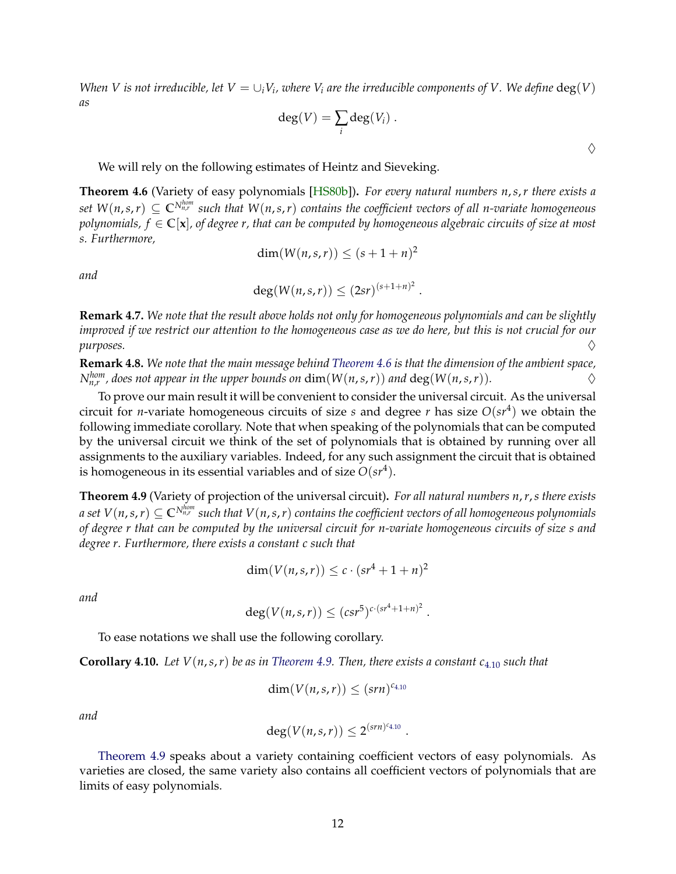*When V is not irreducible, let*  $V = \cup_i V_i$ *, where*  $V_i$  *are the irreducible components of V . We define*  $\deg(V)$ *as*

$$
\deg(V) = \sum_i \deg(V_i) .
$$

 $\Diamond$ 

We will rely on the following estimates of Heintz and Sieveking.

<span id="page-11-0"></span>**Theorem 4.6** (Variety of easy polynomials [\[HS80b\]](#page-22-0))**.** *For every natural numbers n*,*s*,*r there exists a*  $set \ W(n,s,r) \subseteq \mathbb{C}^{N_{n,r}^{hom}}$  such that  $W(n,s,r)$  contains the coefficient vectors of all n-variate homogeneous *polynomials, f* ∈ **C**[**x**]*, of degree r, that can be computed by homogeneous algebraic circuits of size at most s. Furthermore,*

$$
\dim(W(n,s,r)) \le (s+1+n)^2
$$

*and*

$$
\deg(W(n,s,r)) \leq (2sr)^{(s+1+n)^2}.
$$

**Remark 4.7.** *We note that the result above holds not only for homogeneous polynomials and can be slightly improved if we restrict our attention to the homogeneous case as we do here, but this is not crucial for our*  $purpose.$   $\Diamond$ 

**Remark 4.8.** *We note that the main message behind [Theorem 4.6](#page-11-0) is that the dimension of the ambient space, N*<sup>*hom*</sup>, does not appear in the upper bounds on  $dim(W(n,s,r))$  and  $deg(W(n,s,r))$ .

To prove our main result it will be convenient to consider the universal circuit. As the universal circuit for *n*-variate homogeneous circuits of size *s* and degree *r* has size *O*(*sr*<sup>4</sup> ) we obtain the following immediate corollary. Note that when speaking of the polynomials that can be computed by the universal circuit we think of the set of polynomials that is obtained by running over all assignments to the auxiliary variables. Indeed, for any such assignment the circuit that is obtained is homogeneous in its essential variables and of size  $O(sr^4)$ .

<span id="page-11-1"></span>**Theorem 4.9** (Variety of projection of the universal circuit)**.** *For all natural numbers n*,*r*,*s there exists*  $a$  set  $V(n,s,r)\subseteq \mathbb{C}^{N_{n,r}^{hom}}$  such that  $V(n,s,r)$  contains the coefficient vectors of all homogeneous polynomials *of degree r that can be computed by the universal circuit for n-variate homogeneous circuits of size s and degree r. Furthermore, there exists a constant c such that*

$$
\dim(V(n,s,r)) \le c \cdot (sr^4 + 1 + n)^2
$$

*and*

$$
\deg(V(n,s,r)) \leq (c s r^5)^{c \cdot (s r^4 + 1 + n)^2}.
$$

To ease notations we shall use the following corollary.

<span id="page-11-2"></span>**Corollary 4.10.** *Let V*(*n*,*s*,*r*) *be as in [Theorem 4.9.](#page-11-1) Then, there exists a constant c*[4.10](#page-11-2) *such that*

$$
\dim(V(n,s,r)) \leq (sm)^{c_{4.10}}
$$

*and*

$$
\deg(V(n,s,r)) \leq 2^{(srn)^{c_{4.10}}}\ .
$$

[Theorem 4.9](#page-11-1) speaks about a variety containing coefficient vectors of easy polynomials. As varieties are closed, the same variety also contains all coefficient vectors of polynomials that are limits of easy polynomials.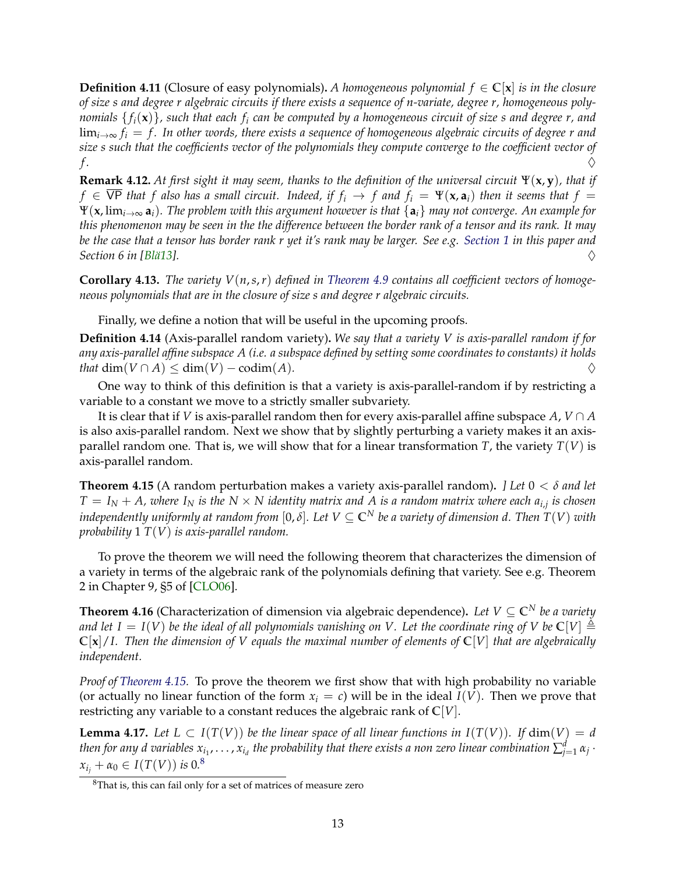**Definition 4.11** (Closure of easy polynomials). A homogeneous polynomial  $f \in \mathbb{C}|\mathbf{x}|$  is in the closure *of size s and degree r algebraic circuits if there exists a sequence of n-variate, degree r, homogeneous polynomials* { *fi*(**x**)}*, such that each f<sup>i</sup> can be computed by a homogeneous circuit of size s and degree r, and* lim*i*→<sup>∞</sup> *f<sup>i</sup>* = *f . In other words, there exists a sequence of homogeneous algebraic circuits of degree r and size s such that the coefficients vector of the polynomials they compute converge to the coefficient vector of f .* ♦

**Remark 4.12.** *At first sight it may seem, thanks to the definition of the universal circuit* Ψ(**x**, **y**)*, that if*  $f \in \overline{VP}$  *that f also has a small circuit. Indeed, if*  $f_i \to f$  *and*  $f_i = \Psi(\mathbf{x}, \mathbf{a}_i)$  *then it seems that*  $f =$ Ψ(**x**, lim*i*→<sup>∞</sup> **a***i*)*. The problem with this argument however is that* {**a***i*} *may not converge. An example for this phenomenon may be seen in the the difference between the border rank of a tensor and its rank. It may be the case that a tensor has border rank r yet it's rank may be larger. See e.g. [Section 1](#page--1-0) in this paper and*  $\Diamond$  *Section 6 in [Blä13].*  $\Diamond$ 

**Corollary 4.13.** *The variety V*(*n*,*s*,*r*) *defined in [Theorem 4.9](#page-11-1) contains all coefficient vectors of homogeneous polynomials that are in the closure of size s and degree r algebraic circuits.*

Finally, we define a notion that will be useful in the upcoming proofs.

**Definition 4.14** (Axis-parallel random variety)**.** *We say that a variety V is axis-parallel random if for any axis-parallel affine subspace A (i.e. a subspace defined by setting some coordinates to constants) it holds*  $that \dim(V \cap A) \leq dim(V) - codim(A).$ 

One way to think of this definition is that a variety is axis-parallel-random if by restricting a variable to a constant we move to a strictly smaller subvariety.

It is clear that if *V* is axis-parallel random then for every axis-parallel affine subspace  $A$ ,  $V \cap A$ is also axis-parallel random. Next we show that by slightly perturbing a variety makes it an axisparallel random one. That is, we will show that for a linear transformation *T*, the variety *T*(*V*) is axis-parallel random.

<span id="page-12-0"></span>**Theorem 4.15** (A random perturbation makes a variety axis-parallel random)**.** *] Let* 0 < *δ and let*  $T = I_N + A$ , where  $I_N$  is the  $N \times N$  identity matrix and A is a random matrix where each  $a_{i,j}$  is chosen *independently uniformly at random from* [0,  $\delta$ ]. Let  $V \subseteq \mathbb{C}^N$  be a variety of dimension d. Then  $T(V)$  with *probability* 1 *T*(*V*) *is axis-parallel random.*

To prove the theorem we will need the following theorem that characterizes the dimension of a variety in terms of the algebraic rank of the polynomials defining that variety. See e.g. Theorem 2 in Chapter 9, §5 of [\[CLO06\]](#page-22-10).

**Theorem 4.16** (Characterization of dimension via algebraic dependence). Let  $V \subseteq \mathbb{C}^N$  be a variety *and let*  $I = I(V)$  *be the ideal of all polynomials vanishing on V. Let the coordinate ring of V be*  $\mathbb{C}[V] \triangleq$ **C**[**x**]/*I. Then the dimension of V equals the maximal number of elements of* **C**[*V*] *that are algebraically independent.*

*Proof of [Theorem 4.15.](#page-12-0)* To prove the theorem we first show that with high probability no variable (or actually no linear function of the form  $x_i = c$ ) will be in the ideal  $I(V)$ . Then we prove that restricting any variable to a constant reduces the algebraic rank of **C**[*V*].

<span id="page-12-2"></span>**Lemma 4.17.** Let  $L \subset I(T(V))$  be the linear space of all linear functions in  $I(T(V))$ . If  $dim(V) = d$ then for any  $d$  variables  $x_{i_1},\ldots,x_{i_d}$  the probability that there exists a non zero linear combination  $\sum_{j=1}^d\alpha_j\cdot$  $x_{i_j} + \alpha_0 \in I(T(V))$  *is* 0*.*<sup>[8](#page-12-1)</sup>

<span id="page-12-1"></span><sup>8</sup>That is, this can fail only for a set of matrices of measure zero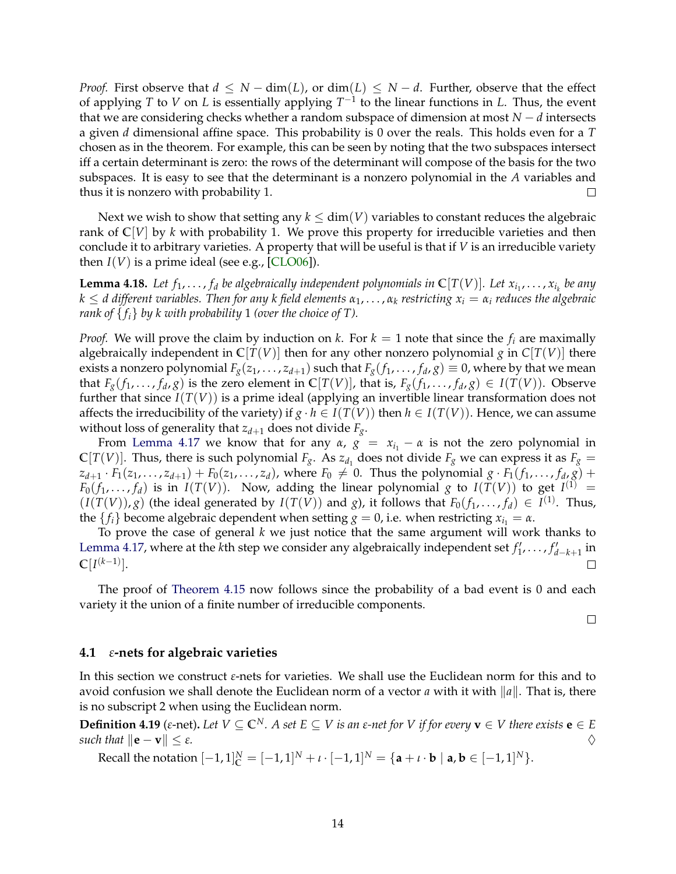*Proof.* First observe that  $d \leq N - \dim(L)$ , or  $\dim(L) \leq N - d$ . Further, observe that the effect of applying *T* to *V* on *L* is essentially applying  $T^{-1}$  to the linear functions in *L*. Thus, the event that we are considering checks whether a random subspace of dimension at most *N* − *d* intersects a given *d* dimensional affine space. This probability is 0 over the reals. This holds even for a *T* chosen as in the theorem. For example, this can be seen by noting that the two subspaces intersect iff a certain determinant is zero: the rows of the determinant will compose of the basis for the two subspaces. It is easy to see that the determinant is a nonzero polynomial in the *A* variables and thus it is nonzero with probability 1.  $\Box$ 

Next we wish to show that setting any  $k \le \dim(V)$  variables to constant reduces the algebraic rank of  $\mathbb{C}[V]$  by *k* with probability 1. We prove this property for irreducible varieties and then conclude it to arbitrary varieties. A property that will be useful is that if *V* is an irreducible variety then  $I(V)$  is a prime ideal (see e.g., [\[CLO06\]](#page-22-10)).

**Lemma 4.18.** Let  $f_1, \ldots, f_d$  be algebraically independent polynomials in  $\mathbb{C}[T(V)]$ . Let  $x_{i_1}, \ldots, x_{i_k}$  be any  $k \leq d$  different variables. Then for any k field elements  $\alpha_1, \ldots, \alpha_k$  restricting  $x_i = \alpha_i$  reduces the algebraic *rank of*  $\{f_i\}$  *by k with probability* 1 *(over the choice of T).* 

*Proof.* We will prove the claim by induction on *k*. For  $k = 1$  note that since the  $f_i$  are maximally algebraically independent in  $\mathbb{C}[T(V)]$  then for any other nonzero polynomial *g* in  $C[T(V)]$  there exists a nonzero polynomial  $F_g(z_1, \ldots, z_{d+1})$  such that  $F_g(f_1, \ldots, f_d, g) \equiv 0$ , where by that we mean that  $F_g(f_1,\ldots,f_d,g)$  is the zero element in  $\mathbb{C}[T(V)]$ , that is,  $F_g(f_1,\ldots,f_d,g) \in I(T(V))$ . Observe further that since *I*(*T*(*V*)) is a prime ideal (applying an invertible linear transformation does not affects the irreducibility of the variety) if  $g \cdot h \in I(T(V))$  then  $h \in I(T(V))$ . Hence, we can assume without loss of generality that  $z_{d+1}$  does not divide  $F_g$ .

From [Lemma 4.17](#page-12-2) we know that for any  $\alpha$ ,  $g = x_{i_1} - \alpha$  is not the zero polynomial in  $\mathbb{C}[T(V)]$ . Thus, there is such polynomial  $F_g$ . As  $z_{d_1}$  does not divide  $F_g$  we can express it as  $F_g =$  $z_{d+1}\cdot F_1(z_1,\ldots,z_{d+1})+F_0(z_1,\ldots,z_d)$ , where  $F_0\neq 0$ . Thus the polynomial  $g\cdot F_1(f_1,\ldots,f_d,g)+G_1(g)$  $F_0(f_1,\ldots,f_d)$  is in  $I(T(V))$ . Now, adding the linear polynomial *g* to  $I(T(V))$  to get  $I^{(1)}$  =  $(I(T(V)), g)$  (the ideal generated by  $I(T(V))$  and *g*), it follows that  $F_0(f_1, \ldots, f_d) \in I^{(1)}$ . Thus, the  ${f_i}$  become algebraic dependent when setting  $g = 0$ , i.e. when restricting  $x_{i_1} = \alpha$ .

To prove the case of general *k* we just notice that the same argument will work thanks to [Lemma 4.17,](#page-12-2) where at the *k*<sup>th</sup> step we consider any algebraically independent set  $f'_1, \ldots, f'_{d-k+1}$  in  $\mathbb{C}[I^{(k-1)}].$  $\Box$ 

The proof of [Theorem 4.15](#page-12-0) now follows since the probability of a bad event is 0 and each variety it the union of a finite number of irreducible components.

 $\Box$ 

#### <span id="page-13-0"></span>**4.1** *ε***-nets for algebraic varieties**

In this section we construct *ε*-nets for varieties. We shall use the Euclidean norm for this and to avoid confusion we shall denote the Euclidean norm of a vector *a* with it with  $\|a\|$ . That is, there is no subscript 2 when using the Euclidean norm.

**Definition 4.19** ( $\varepsilon$ -net). Let  $V \subseteq \mathbb{C}^N$ . A set  $E \subseteq V$  is an  $\varepsilon$ -net for V if for every  $\mathbf{v} \in V$  there exists  $\mathbf{e} \in E$ *such that*  $\|\mathbf{e} - \mathbf{v}\| \leq \varepsilon$ *.*  $\diamondsuit$ 

<span id="page-13-1"></span> $\text{Recall the notation } [-1, 1]_{\mathbb{C}}^{N} = [-1, 1]^{N} + \iota \cdot [-1, 1]^{N} = \{ \mathbf{a} + \iota \cdot \mathbf{b} \mid \mathbf{a}, \mathbf{b} \in [-1, 1]^{N} \}.$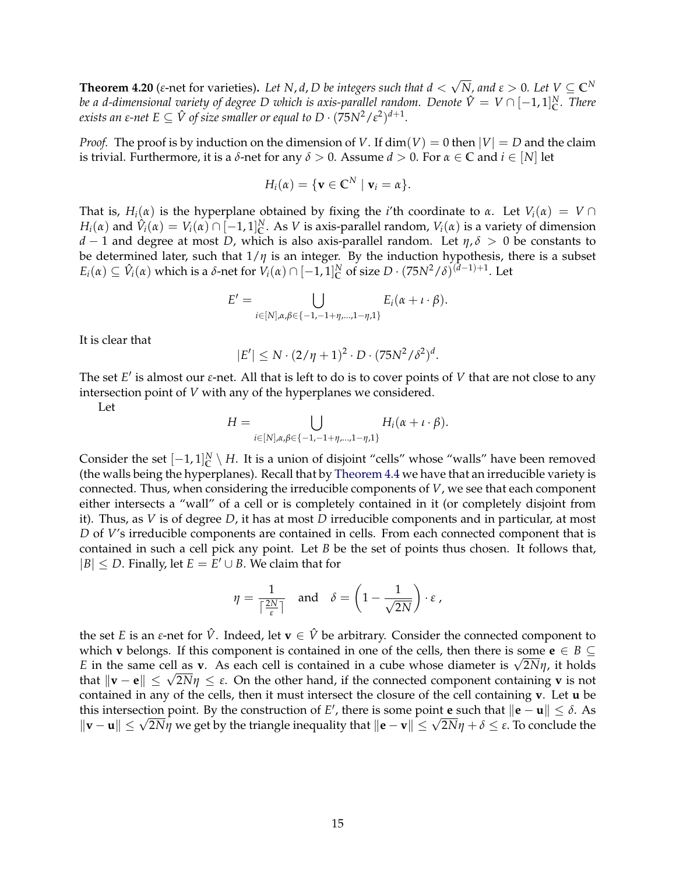**Theorem 4.20** (*ε*-net for varieties)**.** *Let N*, *d*, *D be integers such that d* < √  $\overline{N}$ *, and*  $\varepsilon > 0$ *. Let*  $V \subseteq \mathbb{C}^N$ *be a d-dimensional variety of degree D which is axis-parallel random. Denote*  $\hat{V}=V\cap [-1,1]_{\mathbb{C}}^N$ *. There exists an ε-net E*  $\subseteq \hat{V}$  *of size smaller or equal to D*  $\cdot$   $(75N^2/\varepsilon^2)^{d+1}$ *.* 

*Proof.* The proof is by induction on the dimension of *V*. If  $dim(V) = 0$  then  $|V| = D$  and the claim is trivial. Furthermore, it is a *δ*-net for any *δ* > 0. Assume *d* > 0. For *α* ∈ **C** and *i* ∈ [*N*] let

$$
H_i(\alpha) = \{ \mathbf{v} \in \mathbb{C}^N \mid \mathbf{v}_i = \alpha \}.
$$

That is,  $H_i(\alpha)$  is the hyperplane obtained by fixing the *i*'th coordinate to  $\alpha$ . Let  $V_i(\alpha) = V \cap$  $H_i(\alpha)$  and  $\hat{V}_i(\alpha) = V_i(\alpha) \cap [-1,1]^N$ . As *V* is axis-parallel random,  $V_i(\alpha)$  is a variety of dimension *d* − 1 and degree at most *D*, which is also axis-parallel random. Let *η*, *δ* > 0 be constants to be determined later, such that  $1/\eta$  is an integer. By the induction hypothesis, there is a subset  $E_i(\alpha) \subseteq \hat{V}_i(\alpha)$  which is a *δ*-net for  $V_i(\alpha) \cap [-1,1]^N_C$  of size  $D \cdot (75N^2/\delta)^{(d-1)+1}$ . Let

$$
E' = \bigcup_{i \in [N], \alpha, \beta \in \{-1, -1+\eta, \dots, 1-\eta, 1\}} E_i(\alpha + \iota \cdot \beta).
$$

It is clear that

$$
|E'| \leq N \cdot (2/\eta + 1)^2 \cdot D \cdot (75N^2/\delta^2)^d.
$$

The set *E'* is almost our *ε*-net. All that is left to do is to cover points of *V* that are not close to any intersection point of *V* with any of the hyperplanes we considered.

Let

$$
H = \bigcup_{i \in [N], \alpha, \beta \in \{-1, -1+\eta, \dots, 1-\eta, 1\}} H_i(\alpha + \iota \cdot \beta).
$$

Consider the set  $[-1,1]_{\mathbb{C}}^N \setminus H$ . It is a union of disjoint "cells" whose "walls" have been removed (the walls being the hyperplanes). Recall that by [Theorem 4.4](#page-10-2) we have that an irreducible variety is connected. Thus, when considering the irreducible components of *V*, we see that each component either intersects a "wall" of a cell or is completely contained in it (or completely disjoint from it). Thus, as *V* is of degree *D*, it has at most *D* irreducible components and in particular, at most *D* of *V*'s irreducible components are contained in cells. From each connected component that is contained in such a cell pick any point. Let *B* be the set of points thus chosen. It follows that,  $|B|$  ≤ *D*. Finally, let  $E = E' ∪ B$ . We claim that for

$$
\eta = \frac{1}{\lceil \frac{2N}{\varepsilon} \rceil} \quad \text{and} \quad \delta = \left( 1 - \frac{1}{\sqrt{2N}} \right) \cdot \varepsilon ,
$$

the set *E* is an *ε*-net for  $\hat{V}$ . Indeed, let  $\mathbf{v} \in \hat{V}$  be arbitrary. Consider the connected component to which **v** belongs. If this component is contained in one of the cells, then there is some  $e \in B \subseteq$ which **v** belongs. If this component is contained in one of the cells, then there is some  $\mathbf{e} \in B \subseteq$ <br>*E* in the same cell as **v**. As each cell is contained in a cube whose diameter is  $\sqrt{2N}\eta$ , it holds *E* in the same cell as **v**. As each cell is contained in a cube whose diameter is  $\sqrt{2Nη}$ , it holds that  $||$ **v** − **e** $|| \leq \sqrt{2Nη} \leq ε$ . On the other hand, if the connected component containing **v** is not contained in any of the cells, then it must intersect the closure of the cell containing **v**. Let **u** be this intersection point. By the construction of *E'*, there is some point **e** such that  $\|\mathbf{e} - \mathbf{u}\| \le \delta$ . As **this intersection point.** By the construction of E', there is some point **e** such that  $\|\mathbf{e} - \mathbf{u}\| \leq \rho$ . As  $\|\mathbf{v} - \mathbf{u}\| \leq \sqrt{2N\eta}$  we get by the triangle inequality that  $\|\mathbf{e} - \mathbf{v}\| \leq \sqrt{2N\eta} + \delta \leq \varepsilon$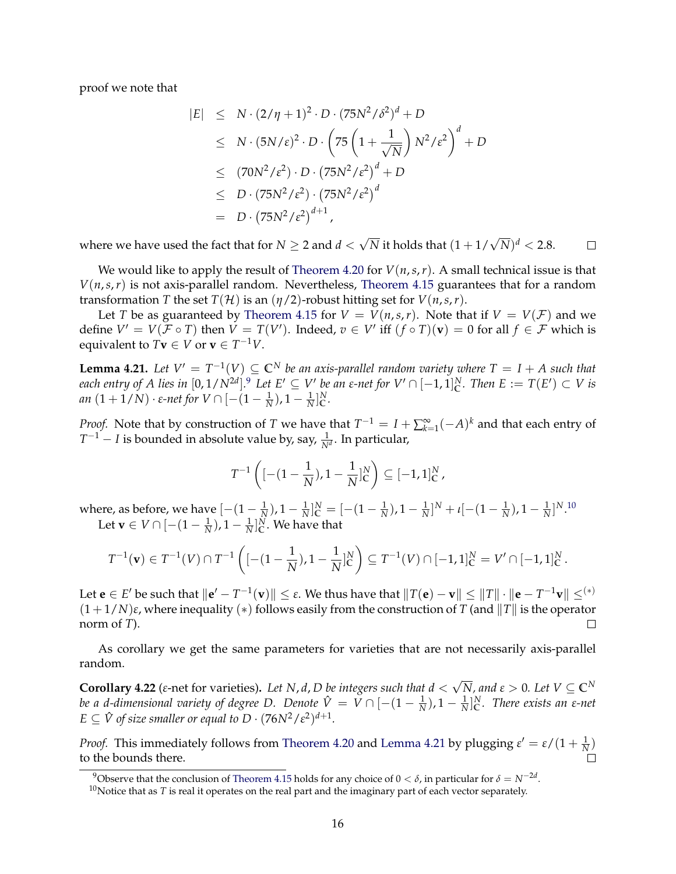proof we note that

$$
|E| \leq N \cdot (2/\eta + 1)^2 \cdot D \cdot (75N^2/\delta^2)^d + D
$$
  
\n
$$
\leq N \cdot (5N/\epsilon)^2 \cdot D \cdot \left(75\left(1 + \frac{1}{\sqrt{N}}\right)N^2/\epsilon^2\right)^d + D
$$
  
\n
$$
\leq (70N^2/\epsilon^2) \cdot D \cdot (75N^2/\epsilon^2)^d + D
$$
  
\n
$$
\leq D \cdot (75N^2/\epsilon^2) \cdot (75N^2/\epsilon^2)^d
$$
  
\n
$$
= D \cdot (75N^2/\epsilon^2)^{d+1},
$$

 $\sqrt{N}$  it holds that  $(1+1/\sqrt{N})^d < 2.8$ . where we have used the fact that for  $N\geq 2$  and  $d<$  $\Box$ 

We would like to apply the result of [Theorem 4.20](#page-13-1) for  $V(n,s,r)$ . A small technical issue is that  $V(n,s,r)$  is not axis-parallel random. Nevertheless, [Theorem 4.15](#page-12-0) guarantees that for a random transformation *T* the set  $T(\mathcal{H})$  is an  $(\eta/2)$ -robust hitting set for  $V(n,s,r)$ .

Let *T* be as guaranteed by [Theorem 4.15](#page-12-0) for  $V = V(n,s,r)$ . Note that if  $V = V(\mathcal{F})$  and we define  $V' = V(\mathcal{F} \circ T)$  then  $V = T(V')$ . Indeed,  $v \in V'$  iff  $(f \circ T)(v) = 0$  for all  $f \in \mathcal{F}$  which is equivalent to  $T$ **v**  $\in$  *V* or **v**  $\in$   $T^{-1}V$ .

<span id="page-15-2"></span>**Lemma 4.21.** Let  $V' = T^{-1}(V) \subseteq \mathbb{C}^N$  be an axis-parallel random variety where  $T = I + A$  such that *each entry of A lies in*  $[0, 1/N^{2d}]$ .<sup>[9](#page-15-0)</sup> Let  $E' \subseteq V'$  be an  $\varepsilon$ -net for  $V' \cap [-1, 1]_C^N$ . Then  $E := T(E') \subset V$  is *an* (1 + 1/*N*) · *ε-net for*  $V \cap [-(1 - \frac{1}{N}), 1 - \frac{1}{N}]$ <sup>N</sup><sub>C</sub> *.*

*Proof.* Note that by construction of *T* we have that  $T^{-1} = I + \sum_{k=1}^{\infty} (-A)^k$  and that each entry of *T*<sup>−1</sup> − *I* is bounded in absolute value by, say,  $\frac{1}{N^d}$ . In particular,

$$
T^{-1}\left([- (1-\frac{1}{N}), 1-\frac{1}{N}]_C^N\right) \subseteq [-1,1]_C^N,
$$

where, as before, we have  $[-(1-\frac{1}{N}), 1-\frac{1}{N}]_C^N = [-(1-\frac{1}{N}), 1-\frac{1}{N}]^N + \iota[-(1-\frac{1}{N}), 1-\frac{1}{N}]^{N.10}$  $[-(1-\frac{1}{N}), 1-\frac{1}{N}]_C^N = [-(1-\frac{1}{N}), 1-\frac{1}{N}]^N + \iota[-(1-\frac{1}{N}), 1-\frac{1}{N}]^{N.10}$  $[-(1-\frac{1}{N}), 1-\frac{1}{N}]_C^N = [-(1-\frac{1}{N}), 1-\frac{1}{N}]^N + \iota[-(1-\frac{1}{N}), 1-\frac{1}{N}]^{N.10}$ Let  $\mathbf{v} \in V \cap [-(1-\frac{1}{N}), 1-\frac{1}{N}]_{\mathbb{C}}^{N}$ . We have that

$$
T^{-1}(\mathbf{v}) \in T^{-1}(V) \cap T^{-1}\left( [-(1-\frac{1}{N}), 1-\frac{1}{N}]_C^N \right) \subseteq T^{-1}(V) \cap [-1,1]_C^N = V' \cap [-1,1]_C^N.
$$

Let  $\mathbf{e}\in E'$  be such that  $\|\mathbf{e}'-T^{-1}(\mathbf{v})\|\leq\varepsilon.$  We thus have that  $\|T(\mathbf{e})-\mathbf{v}\|\leq\|T\|\cdot\|\mathbf{e}-T^{-1}\mathbf{v}\|\leq^{(*)}$  $(1 + 1/N)\varepsilon$ , where inequality  $(*)$  follows easily from the construction of *T* (and  $||T||$  is the operator norm of *T*).  $\Box$ 

As corollary we get the same parameters for varieties that are not necessarily axis-parallel random.

<span id="page-15-3"></span>**Corollary 4.22** (*ε*-net for varieties)**.** *Let N*, *d*, *D be integers such that d* < √  $\overline{N}$ *, and*  $\varepsilon > 0$ *. Let*  $V \subseteq \mathbb{C}^N$ *be a d-dimensional variety of degree D. Denote*  $\hat{V} = V \cap [-(1-\frac{1}{N}), 1-\frac{1}{N}]_C^N$ *. There exists an*  $\varepsilon$ *-net*  $E \subseteq \hat{V}$  of size smaller or equal to  $D \cdot (76N^2/\varepsilon^2)^{d+1}$ .

*Proof.* This immediately follows from [Theorem 4.20](#page-13-1) and [Lemma 4.21](#page-15-2) by plugging  $\varepsilon' = \varepsilon/(1 + \frac{1}{N})$ to the bounds there.

<span id="page-15-0"></span><sup>9</sup>Observe that the conclusion of [Theorem 4.15](#page-12-0) holds for any choice of 0 < *δ*, in particular for *δ* = *N*−2*<sup>d</sup>* .

<span id="page-15-1"></span> $10$ Notice that as *T* is real it operates on the real part and the imaginary part of each vector separately.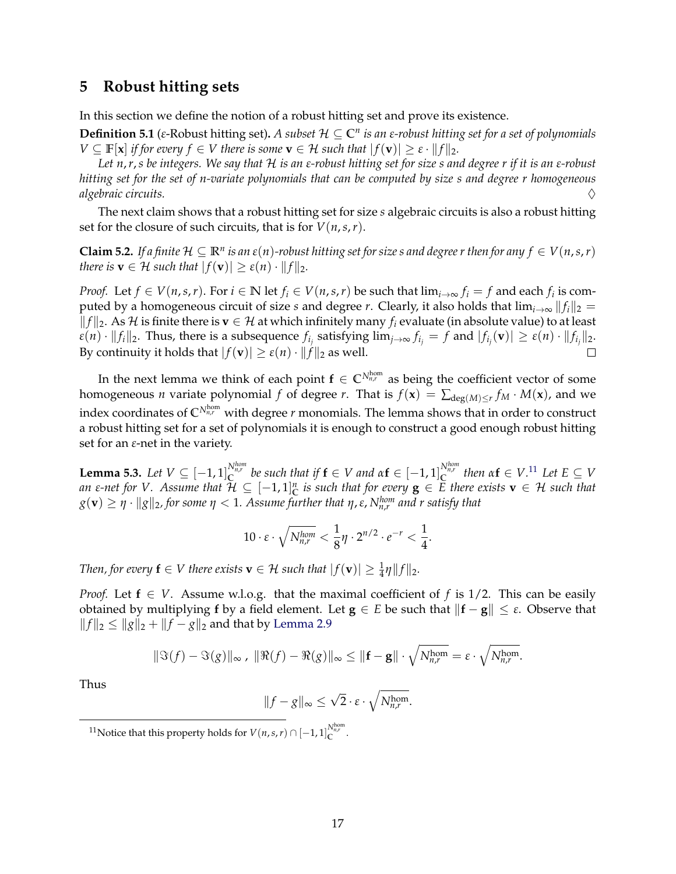### <span id="page-16-1"></span>**5 Robust hitting sets**

In this section we define the notion of a robust hitting set and prove its existence.

**Definition 5.1** (*ε*-Robust hitting set)**.** *A subset* H ⊆ **C***<sup>n</sup> is an ε-robust hitting set for a set of polynomials*  $V \subseteq \mathbb{F}[\mathbf{x}]$  *if for every*  $f \in V$  *there is some*  $\mathbf{v} \in \mathcal{H}$  *such that*  $|f(\mathbf{v})| \geq \varepsilon \cdot ||f||_2$ *.* 

*Let n*,*r*,*s be integers. We say that* H *is an ε-robust hitting set for size s and degree r if it is an ε-robust hitting set for the set of n-variate polynomials that can be computed by size s and degree r homogeneous algebraic circuits.* ♦

The next claim shows that a robust hitting set for size *s* algebraic circuits is also a robust hitting set for the closure of such circuits, that is for  $V(n, s, r)$ .

<span id="page-16-0"></span>**Claim 5.2.** If a finite  $\mathcal{H} \subseteq \mathbb{R}^n$  is an  $\varepsilon(n)$ -robust hitting set for size s and degree r then for any  $f \in V(n,s,r)$ *there is*  $\mathbf{v} \in \mathcal{H}$  *such that*  $|f(\mathbf{v})| \geq \varepsilon(n) \cdot ||f||_2$ *.* 

*Proof.* Let  $f \in V(n,s,r)$ . For  $i \in \mathbb{N}$  let  $f_i \in V(n,s,r)$  be such that  $\lim_{i\to\infty} f_i = f$  and each  $f_i$  is computed by a homogeneous circuit of size *s* and degree *r*. Clearly, it also holds that  $\lim_{i\to\infty} ||f_i||_2 =$  $||f||_2$ . As *H* is finite there is **v** ∈ *H* at which infinitely many *f<sub>i</sub>* evaluate (in absolute value) to at least  $\varepsilon(n)\cdot \|f_i\|_2$ . Thus, there is a subsequence  $f_{i_j}$  satisfying  $\lim_{j\to\infty} f_{i_j}=f$  and  $|f_{i_j}(\mathbf{v})|\geq \varepsilon(n)\cdot \|f_{i_j}\|_2$ . By continuity it holds that  $|f(\mathbf{v})| \ge \varepsilon(n) \cdot ||f||_2$  as well.

In the next lemma we think of each point  $\mathbf{f} \in \mathbb{C}^{N_{n,r}^{\text{hom}}}$  as being the coefficient vector of some homogeneous *n* variate polynomial *f* of degree *r*. That is  $f(\mathbf{x}) = \sum_{\text{deg}(M) \leq r} f_M \cdot M(\mathbf{x})$ , and we index coordinates of  $\mathbb{C}^{N_{n,r}^{\hom}}$  with degree  $r$  monomials. The lemma shows that in order to construct a robust hitting set for a set of polynomials it is enough to construct a good enough robust hitting set for an *ε*-net in the variety.

<span id="page-16-3"></span>**Lemma 5.3.** Let  $V \subseteq [-1,1]_C^{N_{n,r}^{hom}}$  be such that if  $f \in V$  and  $\alpha f \in [-1,1]_C^{N_{n,r}^{hom}}$  then  $\alpha f \in V$ .<sup>[11](#page-16-2)</sup> Let  $E \subseteq V$  $a$ n  $\varepsilon$ -net for  $V$ . Assume that  $\mathcal{H} \subseteq [-1,1]^n_{\mathbb{C}}$  is such that for every  $\mathbf{g} \in E$  there exists  $\mathbf{v} \in \mathcal{H}$  such that  $g(\mathbf{v}) \geq \eta \cdot \|g\|_2$ , for some  $\eta < 1$ . Assume further that  $\eta$ ,  $\varepsilon$ ,  $N_{n,r}^{hom}$  and  $r$  satisfy that

$$
10 \cdot \varepsilon \cdot \sqrt{N_{n,r}^{hom}} < \frac{1}{8}\eta \cdot 2^{n/2} \cdot e^{-r} < \frac{1}{4}.
$$

*Then, for every*  $\mathbf{f} \in V$  there exists  $\mathbf{v} \in \mathcal{H}$  such that  $|f(\mathbf{v})| \geq \frac{1}{4}\eta ||f||_2$ .

*Proof.* Let  $f \in V$ . Assume w.l.o.g. that the maximal coefficient of f is 1/2. This can be easily obtained by multiplying **f** by a field element. Let **g** ∈ *E* be such that  $||f - g|| \leq \varepsilon$ . Observe that  $||f||_2 \le ||g||_2 + ||f - g||_2$  and that by [Lemma 2.9](#page-8-4)

$$
\|\Im(f)-\Im(g)\|_{\infty},\ \|\Re(f)-\Re(g)\|_{\infty}\leq \|\mathbf{f}-\mathbf{g}\|\cdot\sqrt{N_{n,r}^{\text{hom}}}=\varepsilon\cdot\sqrt{N_{n,r}^{\text{hom}}}.
$$

Thus

$$
||f - g||_{\infty} \le \sqrt{2} \cdot \varepsilon \cdot \sqrt{N_{n,r}^{\text{hom}}}.
$$

<span id="page-16-2"></span><sup>11</sup> Notice that this property holds for  $V(n,s,r) \cap [-1,1]_C^{N_{n,r}^{\text{hom}}}$ .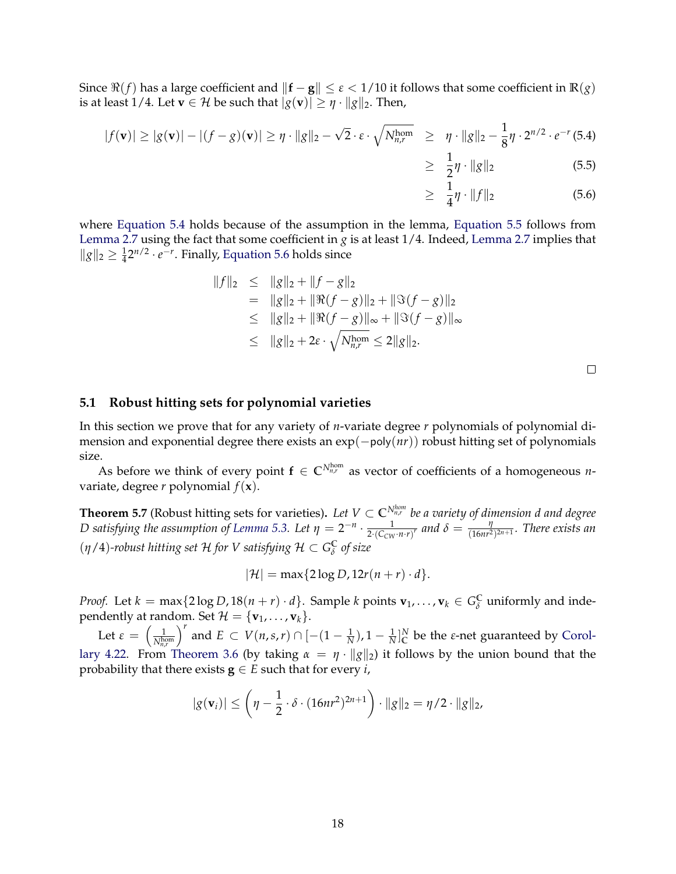Since  $\Re(f)$  has a large coefficient and  $\|\mathbf{f} - \mathbf{g}\| \leq \varepsilon < 1/10$  it follows that some coefficient in  $\mathbb{R}(g)$ is at least 1/4. Let **v**  $\in \mathcal{H}$  be such that  $|g(\mathbf{v})| \geq \eta \cdot ||g||_2$ . Then,

<span id="page-17-0"></span>
$$
|f(\mathbf{v})| \ge |g(\mathbf{v})| - |(f - g)(\mathbf{v})| \ge \eta \cdot ||g||_2 - \sqrt{2} \cdot \varepsilon \cdot \sqrt{N_{n,r}^{\text{hom}}} \ge \eta \cdot ||g||_2 - \frac{1}{8} \eta \cdot 2^{n/2} \cdot e^{-r} (5.4)
$$

$$
\geq \frac{1}{2}\eta \cdot \|g\|_2 \tag{5.5}
$$

$$
\geq \frac{1}{4}\eta \cdot \|f\|_2 \tag{5.6}
$$

where [Equation 5.4](#page-17-0) holds because of the assumption in the lemma, [Equation 5.5](#page-17-0) follows from [Lemma 2.7](#page-7-0) using the fact that some coefficient in *g* is at least  $1/4$ . Indeed, Lemma 2.7 implies that  $||g||_2 ≥ \frac{1}{4}2^{n/2} \cdot e^{-r}$ . Finally, [Equation 5.6](#page-17-0) holds since

$$
||f||_2 \le ||g||_2 + ||f - g||_2
$$
  
=  $||g||_2 + ||\Re(f - g)||_2 + ||\Im(f - g)||_2$   
 $\le ||g||_2 + ||\Re(f - g)||_{\infty} + ||\Im(f - g)||_{\infty}$   
 $\le ||g||_2 + 2\varepsilon \cdot \sqrt{N_{n,r}^{\text{hom}}} \le 2||g||_2.$ 

 $\Box$ 

### **5.1 Robust hitting sets for polynomial varieties**

In this section we prove that for any variety of *n*-variate degree *r* polynomials of polynomial dimension and exponential degree there exists an exp(−poly(*nr*)) robust hitting set of polynomials size.

As before we think of every point  $f \in \mathbb{C}^{N_{n,r}^{\text{hom}}}$  as vector of coefficients of a homogeneous *n*variate, degree *r* polynomial  $f(\mathbf{x})$ .

<span id="page-17-1"></span>**Theorem 5.7** (Robust hitting sets for varieties). Let  $V \subset \mathbb{C}^{N_{n,r}^{hom}}$  be a variety of dimension d and degree *D* satisfying the assumption of [Lemma 5.3.](#page-16-3) Let  $\eta = 2^{-n} \cdot \frac{1}{2 \cdot (C_{\text{CW}}}$  $\frac{1}{2\cdot\left(C_{CW} \cdot n \cdot r\right)^r}$  and  $\delta = \frac{\eta}{(16nr^2)}$  $\frac{\eta}{(16nr^2)^{2n+1}}$ . There exists an  $(\eta/4)$ -robust hitting set  $\mathcal H$  for  $V$  satisfying  $\mathcal H \subset G_{\delta}^{\mathbb C}$ *δ of size*

$$
|\mathcal{H}| = \max\{2\log D, 12r(n+r)\cdot d\}.
$$

*Proof.* Let  $k = \max\{2\log D, 18(n+r) \cdot d\}$ . Sample  $k$  points  $\mathbf{v}_1, \ldots, \mathbf{v}_k \in G_{\delta}^{\mathbb{C}}$  uniformly and inde- $\sum_{i=1}^{n} \sum_{j=1}^{n} \sum_{j=1}^{n} \sum_{j=1}^{n} \sum_{j=1}^{n} \sum_{j=1}^{n} \sum_{j=1}^{n} \sum_{j=1}^{n} \sum_{j=1}^{n} \sum_{j=1}^{n} \sum_{j=1}^{n} \sum_{j=1}^{n} \sum_{j=1}^{n} \sum_{j=1}^{n} \sum_{j=1}^{n} \sum_{j=1}^{n} \sum_{j=1}^{n} \sum_{j=1}^{n} \sum_{j=1}^{n} \sum_{j=1}^{n} \sum_{j=1}^{n} \sum_{j=1}^{n}$ 

Let  $\varepsilon = \left(\frac{1}{N^{\text{hc}}} \right)$ *N*hom *n*,*r f*<sup>*r*</sup></sup> and *E* ⊂ *V*(*n*,*s*,*r*) ∩ [−(1 −  $\frac{1}{N}$ ), 1 −  $\frac{1}{N}$ ]<sub>*C*</sub><sup>*N*</sup> be the *ε*-net guaranteed by [Corol](#page-15-3)[lary 4.22.](#page-15-3) From [Theorem 3.6](#page-9-1) (by taking  $\alpha = \eta \cdot ||g||_2$ ) it follows by the union bound that the probability that there exists  $\mathbf{g} \in E$  such that for every *i*,

$$
|g(\mathbf{v}_i)| \leq \left(\eta - \frac{1}{2} \cdot \delta \cdot (16nr^2)^{2n+1}\right) \cdot ||g||_2 = \eta/2 \cdot ||g||_2,
$$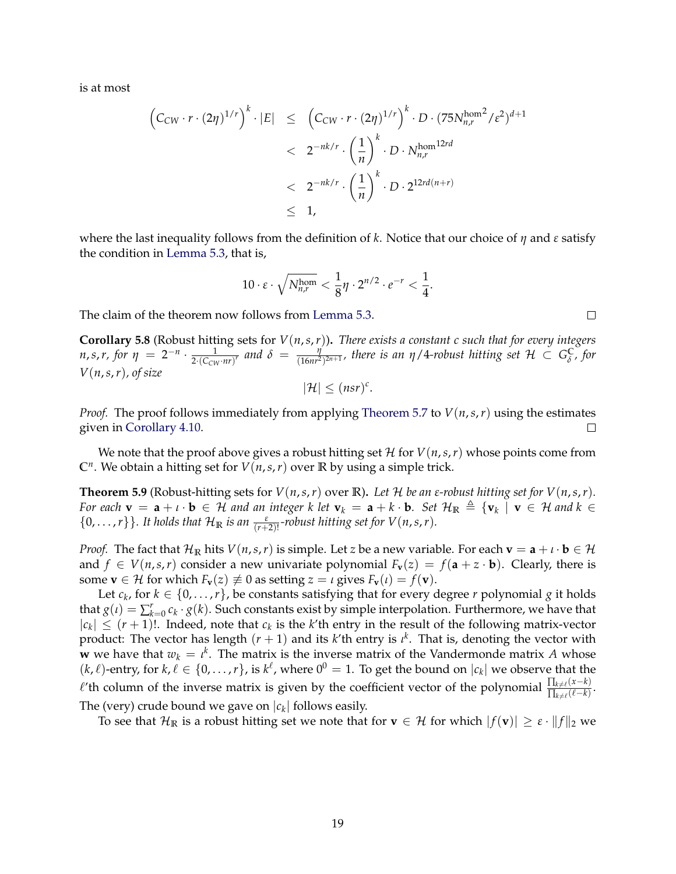is at most

$$
\begin{array}{lcl} \displaystyle \left( C_{CW} \cdot r \cdot (2\eta)^{1/r} \right)^k \cdot |E| & \leq & \displaystyle \left( C_{CW} \cdot r \cdot (2\eta)^{1/r} \right)^k \cdot D \cdot (75N_{n,r}^{\text{hom}^2}/\varepsilon^2)^{d+1} \\ &
$$

where the last inequality follows from the definition of *k*. Notice that our choice of *η* and *ε* satisfy the condition in [Lemma 5.3,](#page-16-3) that is,

$$
10 \cdot \varepsilon \cdot \sqrt{N_{n,r}^{\text{hom}}} < \frac{1}{8} \eta \cdot 2^{n/2} \cdot e^{-r} < \frac{1}{4}.
$$

The claim of the theorem now follows from [Lemma 5.3.](#page-16-3)

<span id="page-18-0"></span>**Corollary 5.8** (Robust hitting sets for *V*(*n*,*s*,*r*))**.** *There exists a constant c such that for every integers n*,*s*,*r*, *for*  $\eta = 2^{-n} \cdot \frac{1}{2\cdot(C_{\text{cut}})}$  $\frac{1}{2\cdot(C_{CW} \cdot nr)^r}$  and  $\delta = \frac{\eta}{(16nr^2)}$  $\frac{\eta}{(16nr^2)^{2n+1}}$ , there is an  $\eta$ /4-robust hitting set  $\mathcal{H} \, \subset \, G_{\delta}^{\mathbb{C}}$ *δ , for V*(*n*,*s*,*r*)*, of size*

$$
|\mathcal{H}| \leq (nsr)^c.
$$

*Proof.* The proof follows immediately from applying [Theorem 5.7](#page-17-1) to  $V(n,s,r)$  using the estimates given in [Corollary 4.10.](#page-11-2)  $\Box$ 

We note that the proof above gives a robust hitting set  $\mathcal{H}$  for  $V(n,s,r)$  whose points come from **C***<sup>n</sup>* . We obtain a hitting set for *V*(*n*,*s*,*r*) over **R** by using a simple trick.

<span id="page-18-1"></span>**Theorem 5.9** (Robust-hitting sets for  $V(n, s, r)$  over R). Let H be an *ε*-robust hitting set for  $V(n, s, r)$ . *For each*  $\mathbf{v} = \mathbf{a} + \iota \cdot \mathbf{b} \in \mathcal{H}$  and an integer k let  $\mathbf{v}_k = \mathbf{a} + k \cdot \mathbf{b}$ . Set  $\mathcal{H}_{\mathbb{R}} \triangleq {\{\mathbf{v}_k \mid \mathbf{v} \in \mathcal{H} \text{ and } k \in \mathcal{H} \}$  $\{0, \ldots, r\}$ . It holds that  $\mathcal{H}_{\mathbb{R}}$  *is an*  $\frac{\varepsilon}{(r+2)!}$ -robust hitting set for  $V(n, s, r)$ .

*Proof.* The fact that  $\mathcal{H}_{\mathbb{R}}$  hits  $V(n, s, r)$  is simple. Let *z* be a new variable. For each  $\mathbf{v} = \mathbf{a} + \iota \cdot \mathbf{b} \in \mathcal{H}$ and  $f \in V(n,s,r)$  consider a new univariate polynomial  $F_v(z) = f(a + z \cdot b)$ . Clearly, there is some  $\mathbf{v} \in \mathcal{H}$  for which  $F_{\mathbf{v}}(z) \not\equiv 0$  as setting  $z = \iota$  gives  $F_{\mathbf{v}}(\iota) = f(\mathbf{v})$ .

Let  $c_k$ , for  $k \in \{0, \ldots, r\}$ , be constants satisfying that for every degree *r* polynomial *g* it holds that  $g(\iota) = \sum_{k=0}^r c_k \cdot g(k)$ . Such constants exist by simple interpolation. Furthermore, we have that  $|c_k| \leq (r+1)!$ . Indeed, note that  $c_k$  is the *k*'th entry in the result of the following matrix-vector product: The vector has length (*r* + 1) and its *k*'th entry is *ι k* . That is, denoting the vector with **w** we have that  $w_k = \iota^k$ . The matrix is the inverse matrix of the Vandermonde matrix *A* whose  $(k, \ell)$ -entry, for  $k, \ell \in \{0, ..., r\}$ , is  $k^{\ell}$ , where  $0^0 = 1$ . To get the bound on  $|c_k|$  we observe that the  $\ell'$ th column of the inverse matrix is given by the coefficient vector of the polynomial  $\frac{\prod_{k\neq \ell}(x-k)}{\prod_{k\neq \ell}(x-k)}$  $\frac{\prod_{k\neq\ell}(x-k)}{\prod_{k\neq\ell}(\ell-k)}.$ The (very) crude bound we gave on  $|c_k|$  follows easily.

To see that  $\mathcal{H}_{\mathbb{R}}$  is a robust hitting set we note that for  $\mathbf{v} \in \mathcal{H}$  for which  $|f(\mathbf{v})| \geq \varepsilon \cdot ||f||_2$  we

 $\Box$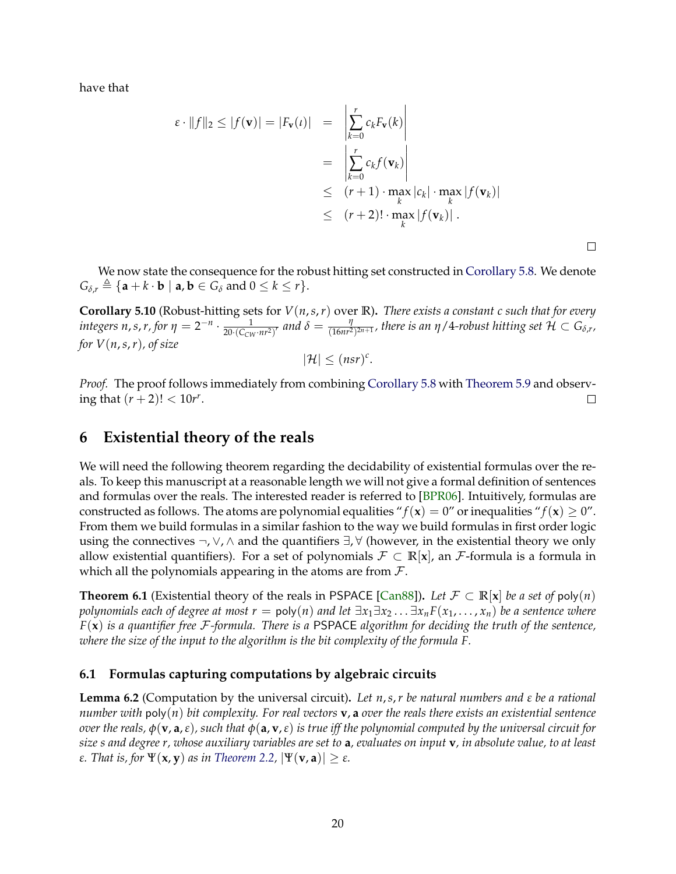have that

$$
\varepsilon \cdot ||f||_2 \le |f(\mathbf{v})| = |F_{\mathbf{v}}(\iota)| = \begin{vmatrix} \sum_{k=0}^{r} c_k F_{\mathbf{v}}(k) \\ \sum_{k=0}^{r} c_k f(\mathbf{v}_k) \end{vmatrix}
$$
  
\n
$$
\leq \frac{(r+1) \cdot \max_{k} |c_k| \cdot \max_{k} |f(\mathbf{v}_k)|}{(r+2)! \cdot \max_{k} |f(\mathbf{v}_k)|}.
$$

 $\Box$ 

We now state the consequence for the robust hitting set constructed in [Corollary 5.8.](#page-18-0) We denote  $G_{\delta r} \triangleq \{ \mathbf{a} + k \cdot \mathbf{b} \mid \mathbf{a}, \mathbf{b} \in G_{\delta} \text{ and } 0 \leq k \leq r \}.$ 

<span id="page-19-2"></span>**Corollary 5.10** (Robust-hitting sets for *V*(*n*,*s*,*r*) over **R**)**.** *There exists a constant c such that for every integers n*, *s*, *r*, for  $\eta = 2^{-n} \cdot \frac{1}{20 \cdot (C_{\text{cut}})}$  $\frac{1}{20 \cdot (C_{CW} \cdot nr^2)^r}$  and  $\delta = \frac{\eta}{(16nr^2)^r}$  $\frac{\eta}{(16n r^2)^{2n+1}}$ , there is an  $\eta$  / 4-robust hitting set  $\mathcal{H} \subset G_{\delta, r},$ *for V*(*n*,*s*,*r*)*, of size*

$$
|\mathcal{H}| \leq (nsr)^c.
$$

*Proof.* The proof follows immediately from combining [Corollary 5.8](#page-18-0) with [Theorem 5.9](#page-18-1) and observing that  $(r + 2)! < 10r^r$ .  $\Box$ 

### <span id="page-19-0"></span>**6 Existential theory of the reals**

We will need the following theorem regarding the decidability of existential formulas over the reals. To keep this manuscript at a reasonable length we will not give a formal definition of sentences and formulas over the reals. The interested reader is referred to [\[BPR06\]](#page-22-13). Intuitively, formulas are constructed as follows. The atoms are polynomial equalities " $f(\mathbf{x}) = 0$ " or inequalities " $f(\mathbf{x}) \ge 0$ ". From them we build formulas in a similar fashion to the way we build formulas in first order logic using the connectives  $\neg$ ,  $\lor$ ,  $\land$  and the quantifiers  $\exists$ ,  $\forall$  (however, in the existential theory we only allow existential quantifiers). For a set of polynomials  $\mathcal{F} \subset \mathbb{R}[\mathbf{x}]$ , an  $\mathcal{F}$ -formula is a formula in which all the polynomials appearing in the atoms are from  $\mathcal{F}$ .

**Theorem 6.1** (Existential theory of the reals in PSPACE [\[Can88\]](#page-22-14)). Let  $\mathcal{F} \subset \mathbb{R}[\mathbf{x}]$  be a set of poly(*n*) *polynomials each of degree at most r* =  $poly(n)$  *and let*  $\exists x_1 \exists x_2 \dots \exists x_n F(x_1, \dots, x_n)$  *be a sentence where F*(**x**) *is a quantifier free* F*-formula. There is a* PSPACE *algorithm for deciding the truth of the sentence, where the size of the input to the algorithm is the bit complexity of the formula F.*

### **6.1 Formulas capturing computations by algebraic circuits**

<span id="page-19-1"></span>**Lemma 6.2** (Computation by the universal circuit)**.** *Let n*,*s*,*r be natural numbers and ε be a rational number with* poly(*n*) *bit complexity. For real vectors* **v**, **a** *over the reals there exists an existential sentence over the reals, φ*(**v**, **a**,*ε*)*, such that φ*(**a**, **v**,*ε*) *is true iff the polynomial computed by the universal circuit for size s and degree r, whose auxiliary variables are set to* **a***, evaluates on input* **v***, in absolute value, to at least ε. That is, for* Ψ(**x**, **y**) *as in [Theorem 2.2,](#page-6-4)* |Ψ(**v**, **a**)| ≥ *ε.*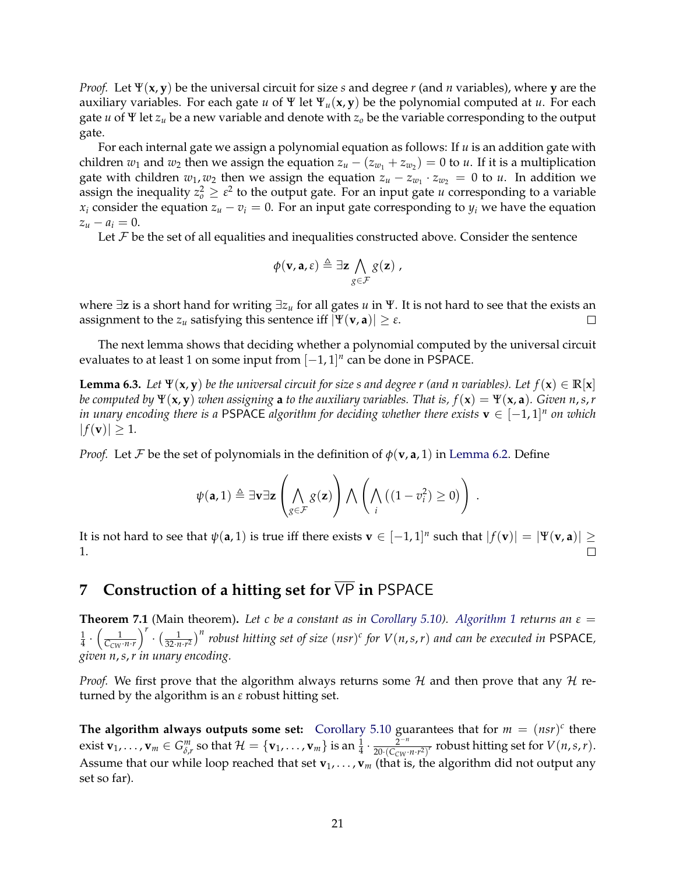*Proof.* Let Ψ(**x**, **y**) be the universal circuit for size *s* and degree *r* (and *n* variables), where **y** are the auxiliary variables. For each gate *u* of Ψ let Ψ*u*(**x**, **y**) be the polynomial computed at *u*. For each gate *u* of Ψ let *z<sup>u</sup>* be a new variable and denote with *z<sup>o</sup>* be the variable corresponding to the output gate.

For each internal gate we assign a polynomial equation as follows: If *u* is an addition gate with children  $w_1$  and  $w_2$  then we assign the equation  $z_u - (z_{w_1} + z_{w_2}) = 0$  to *u*. If it is a multiplication gate with children  $w_1, w_2$  then we assign the equation  $z_u - z_{w_1} \cdot z_{w_2} = 0$  to *u*. In addition we assign the inequality  $z_o^2 \geq \varepsilon^2$  to the output gate. For an input gate *u* corresponding to a variable *x*<sup>*i*</sup> consider the equation  $z_u - v_i = 0$ . For an input gate corresponding to  $y_i$  we have the equation  $z_u - a_i = 0.$ 

Let  $\mathcal F$  be the set of all equalities and inequalities constructed above. Consider the sentence

$$
\phi(\mathbf{v}, \mathbf{a}, \varepsilon) \triangleq \exists \mathbf{z} \bigwedge_{g \in \mathcal{F}} g(\mathbf{z}) ,
$$

where ∃**z** is a short hand for writing ∃*z<sup>u</sup>* for all gates *u* in Ψ. It is not hard to see that the exists an assignment to the  $z_u$  satisfying this sentence iff  $|\Psi(\mathbf{v}, \mathbf{a})| \geq \varepsilon$ .  $\Box$ 

The next lemma shows that deciding whether a polynomial computed by the universal circuit evaluates to at least 1 on some input from [−1, 1] *n* can be done in PSPACE.

<span id="page-20-2"></span>**Lemma 6.3.** *Let*  $\Psi(\mathbf{x}, \mathbf{y})$  *be the universal circuit for size s and degree r (and n variables). Let*  $f(\mathbf{x}) \in \mathbb{R}[\mathbf{x}]$ *be computed by*  $\Psi(x, y)$  *when assigning* **a** *to the auxiliary variables. That is,*  $f(x) = \Psi(x, a)$ *. Given n*,*s*,*r in unary encoding there is a* <code>PSPACE</code> algorithm for deciding whether there exists  $\mathbf{v} \in [-1,1]^n$  on which  $|f(\mathbf{v})| \geq 1.$ 

*Proof.* Let F be the set of polynomials in the definition of  $\phi(\mathbf{v}, \mathbf{a}, 1)$  in [Lemma 6.2.](#page-19-1) Define

$$
\psi(\mathbf{a},1) \triangleq \exists \mathbf{v} \exists \mathbf{z} \left( \bigwedge_{g \in \mathcal{F}} g(\mathbf{z}) \right) \bigwedge \left( \bigwedge_i \left( (1-v_i^2) \geq 0 \right) \right).
$$

It is not hard to see that  $\psi(\mathbf{a},1)$  is true iff there exists  $\mathbf{v}\in[-1,1]^n$  such that  $|f(\mathbf{v})|=|\Psi(\mathbf{v},\mathbf{a})|\geq1$ 1.

# <span id="page-20-1"></span>**7** Construction of a hitting set for  $\overline{VP}$  in PSPACE

<span id="page-20-0"></span>**Theorem 7.1** (Main theorem)**.** *Let c be a constant as in [Corollary 5.10\)](#page-19-2). [Algorithm 1](#page-21-0) returns an ε* = 1  $rac{1}{4} \cdot \left( \frac{1}{C_{CW} \cdot n \cdot r} \right)$  $\int_0^r \cdot \left(\frac{1}{32\cdot n\cdot r^2}\right)^n$  robust hitting set of size  $(nsr)^c$  for  $V(n,s,r)$  and can be executed in PSPACE, *given n*,*s*,*r in unary encoding.*

*Proof.* We first prove that the algorithm always returns some  $H$  and then prove that any  $H$  returned by the algorithm is an *ε* robust hitting set.

**The algorithm always outputs some set:** [Corollary 5.10](#page-19-2) guarantees that for  $m = (nsr)^c$  there exist  $\mathbf{v}_1,\ldots,\mathbf{v}_m\in G_{\delta,r}^m$  so that  $\mathcal{H}=\{\mathbf{v}_1,\ldots,\mathbf{v}_m\}$  is an  $\frac{1}{4}\cdot\frac{2^{-n}}{20\cdot(C_{\text{CW}}\cdot\mathbf{v}_m)}$  $\frac{2^{-n}}{20 \cdot (C_{\text{CW}} \cdot n \cdot r^2)^r}$  robust hitting set for  $V(n, s, r)$ . Assume that our while loop reached that set  $\mathbf{v}_1, \ldots, \mathbf{v}_m$  (that is, the algorithm did not output any set so far).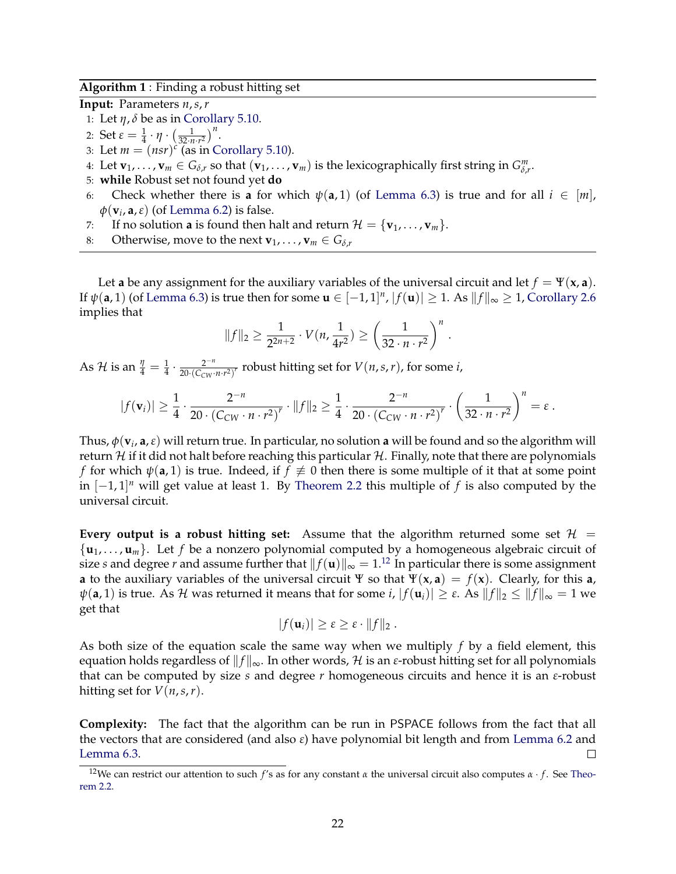**Algorithm 1** : Finding a robust hitting set

<span id="page-21-0"></span>**Input:** Parameters *n*,*s*,*r*

- 1: Let  $\eta$ ,  $\delta$  be as in [Corollary 5.10.](#page-19-2)
- 2: Set  $\varepsilon = \frac{1}{4} \cdot \eta \cdot \left( \frac{1}{32 \cdot n \cdot r^2} \right)^n$ .
- 3: Let  $m = (nsr)^c$  (as in [Corollary 5.10\)](#page-19-2).
- 4: Let  $\mathbf{v}_1, \ldots, \mathbf{v}_m \in G_{\delta,r}$  so that  $(\mathbf{v}_1, \ldots, \mathbf{v}_m)$  is the lexicographically first string in  $G^m_{\delta,r}$ .
- 5: **while** Robust set not found yet **do**
- 6: Check whether there is **a** for which  $\psi(\mathbf{a}, 1)$  (of [Lemma 6.3\)](#page-20-2) is true and for all  $i \in [m]$ , *φ*(**v***<sup>i</sup>* , **a**,*ε*) (of [Lemma 6.2\)](#page-19-1) is false.
- 7: If no solution **a** is found then halt and return  $\mathcal{H} = {\bf{v}_1, ..., v_m}$ .
- 8: Otherwise, move to the next  $\mathbf{v}_1, \ldots, \mathbf{v}_m \in G_{\delta,r}$

Let **a** be any assignment for the auxiliary variables of the universal circuit and let  $f = \Psi(\mathbf{x}, \mathbf{a})$ . If  $\psi(\mathbf{a}, 1)$  (of [Lemma 6.3\)](#page-20-2) is true then for some  $\mathbf{u} \in [-1, 1]^n$ ,  $|f(\mathbf{u})| \geq 1$ . As  $\|f\|_{\infty} \geq 1$ , [Corollary 2.6](#page-6-3) implies that

$$
||f||_2 \ge \frac{1}{2^{2n+2}} \cdot V(n, \frac{1}{4r^2}) \ge \left(\frac{1}{32 \cdot n \cdot r^2}\right)^n.
$$

As H is an  $\frac{\eta}{4} = \frac{1}{4} \cdot \frac{2^{-n}}{20 \cdot (C_{CW} \cdot)}$  $\frac{2^{-n}}{20 \cdot (C_{CW} \cdot n \cdot r^2)^r}$  robust hitting set for  $V(n, s, r)$ , for some *i*,

$$
|f(\mathbf{v}_i)| \geq \frac{1}{4} \cdot \frac{2^{-n}}{20 \cdot (C_{CW} \cdot n \cdot r^2)} \cdot ||f||_2 \geq \frac{1}{4} \cdot \frac{2^{-n}}{20 \cdot (C_{CW} \cdot n \cdot r^2)} \cdot \left(\frac{1}{32 \cdot n \cdot r^2}\right)^n = \varepsilon.
$$

Thus,  $\phi(\mathbf{v}_i, \mathbf{a}, \varepsilon)$  will return true. In particular, no solution  $\mathbf{a}$  will be found and so the algorithm will return H if it did not halt before reaching this particular  $H$ . Finally, note that there are polynomials *f* for which  $\psi(\mathbf{a},1)$  is true. Indeed, if  $f \neq 0$  then there is some multiple of it that at some point in [−1, 1] *<sup>n</sup>* will get value at least 1. By [Theorem 2.2](#page-6-4) this multiple of *f* is also computed by the universal circuit.

**Every output is a robust hitting set:** Assume that the algorithm returned some set  $\mathcal{H}$  =  $\{\mathbf{u}_1, \ldots, \mathbf{u}_m\}$ . Let f be a nonzero polynomial computed by a homogeneous algebraic circuit of size *s* and degree *r* and assume further that  $||f(\mathbf{u})||_{\infty} = 1$ .<sup>[12](#page-21-1)</sup> In particular there is some assignment **a** to the auxiliary variables of the universal circuit Ψ so that  $\Psi(x, a) = f(x)$ . Clearly, for this **a**, *ψ*(**a**, 1) is true. As *H* was returned it means that for some *i*,  $|f(\mathbf{u}_i)| \geq \varepsilon$ . As  $||f||_2 \leq ||f||_∞ = 1$  we get that

$$
|f(\mathbf{u}_i)| \geq \varepsilon \geq \varepsilon \cdot ||f||_2.
$$

As both size of the equation scale the same way when we multiply *f* by a field element, this equation holds regardless of  $||f||_{\infty}$ . In other words, H is an *ε*-robust hitting set for all polynomials that can be computed by size *s* and degree *r* homogeneous circuits and hence it is an *ε*-robust hitting set for  $V(n, s, r)$ .

**Complexity:** The fact that the algorithm can be run in PSPACE follows from the fact that all the vectors that are considered (and also *ε*) have polynomial bit length and from [Lemma 6.2](#page-19-1) and [Lemma 6.3.](#page-20-2)  $\Box$ 

<span id="page-21-1"></span><sup>&</sup>lt;sup>12</sup>We can restrict our attention to such *f*'s as for any constant *α* the universal circuit also computes *α* · *f*. See [Theo](#page-6-4)[rem 2.2.](#page-6-4)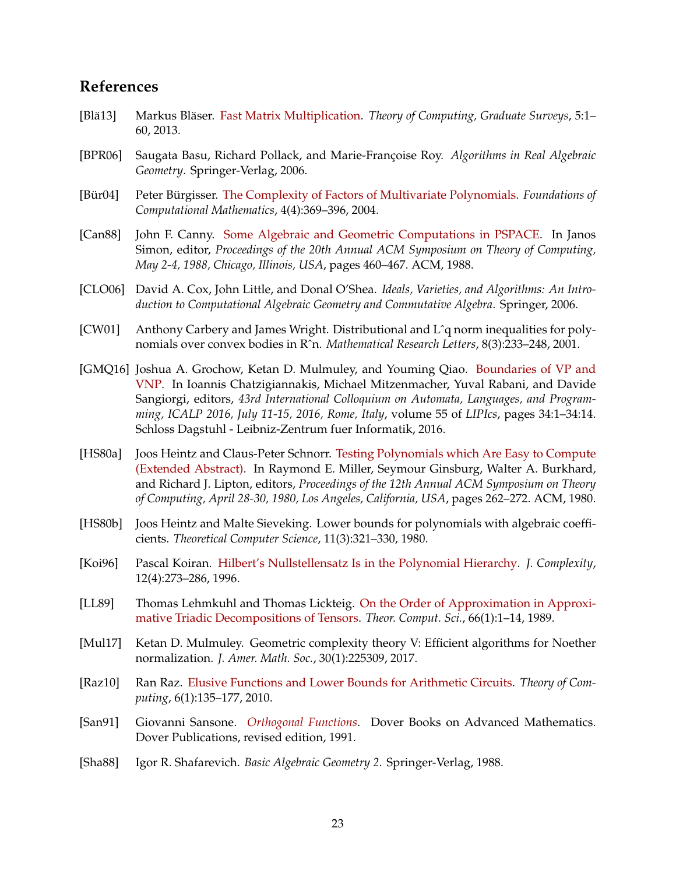## **References**

- <span id="page-22-12"></span>[Blä13] Markus Bläser. [Fast Matrix Multiplication.](http://dx.doi.org/10.4086/toc.gs.2013.005) *Theory of Computing, Graduate Surveys*, 5:1– 60, 2013.
- <span id="page-22-13"></span>[BPR06] Saugata Basu, Richard Pollack, and Marie-Françoise Roy. *Algorithms in Real Algebraic Geometry*. Springer-Verlag, 2006.
- <span id="page-22-3"></span>[Bür04] Peter Bürgisser. [The Complexity of Factors of Multivariate Polynomials.](http://dx.doi.org/10.1007/s10208-002-0059-5) *Foundations of Computational Mathematics*, 4(4):369–396, 2004.
- <span id="page-22-14"></span>[Can88] John F. Canny. [Some Algebraic and Geometric Computations in PSPACE.](http://dx.doi.org/10.1145/62212.62257) In Janos Simon, editor, *Proceedings of the 20th Annual ACM Symposium on Theory of Computing, May 2-4, 1988, Chicago, Illinois, USA*, pages 460–467. ACM, 1988.
- <span id="page-22-10"></span>[CLO06] David A. Cox, John Little, and Donal O'Shea. *Ideals, Varieties, and Algorithms: An Introduction to Computational Algebraic Geometry and Commutative Algebra*. Springer, 2006.
- <span id="page-22-7"></span>[CW01] Anthony Carbery and James Wright. Distributional and Lˆq norm inequalities for polynomials over convex bodies in Rˆn. *Mathematical Research Letters*, 8(3):233–248, 2001.
- <span id="page-22-4"></span>[GMQ16] Joshua A. Grochow, Ketan D. Mulmuley, and Youming Qiao. [Boundaries of VP and](http://dx.doi.org/10.4230/LIPIcs.ICALP.2016.34) [VNP.](http://dx.doi.org/10.4230/LIPIcs.ICALP.2016.34) In Ioannis Chatzigiannakis, Michael Mitzenmacher, Yuval Rabani, and Davide Sangiorgi, editors, *43rd International Colloquium on Automata, Languages, and Programming, ICALP 2016, July 11-15, 2016, Rome, Italy*, volume 55 of *LIPIcs*, pages 34:1–34:14. Schloss Dagstuhl - Leibniz-Zentrum fuer Informatik, 2016.
- <span id="page-22-1"></span>[HS80a] Joos Heintz and Claus-Peter Schnorr. [Testing Polynomials which Are Easy to Compute](http://dx.doi.org/10.1145/800141.804674) [\(Extended Abstract\).](http://dx.doi.org/10.1145/800141.804674) In Raymond E. Miller, Seymour Ginsburg, Walter A. Burkhard, and Richard J. Lipton, editors, *Proceedings of the 12th Annual ACM Symposium on Theory of Computing, April 28-30, 1980, Los Angeles, California, USA*, pages 262–272. ACM, 1980.
- <span id="page-22-0"></span>[HS80b] Joos Heintz and Malte Sieveking. Lower bounds for polynomials with algebraic coefficients. *Theoretical Computer Science*, 11(3):321–330, 1980.
- <span id="page-22-6"></span>[Koi96] Pascal Koiran. [Hilbert's Nullstellensatz Is in the Polynomial Hierarchy.](http://dx.doi.org/10.1006/jcom.1996.0019) *J. Complexity*, 12(4):273–286, 1996.
- <span id="page-22-2"></span>[LL89] Thomas Lehmkuhl and Thomas Lickteig. [On the Order of Approximation in Approxi](http://dx.doi.org/10.1016/0304-3975(89)90141-2)[mative Triadic Decompositions of Tensors.](http://dx.doi.org/10.1016/0304-3975(89)90141-2) *Theor. Comput. Sci.*, 66(1):1–14, 1989.
- <span id="page-22-5"></span>[Mul17] Ketan D. Mulmuley. Geometric complexity theory V: Efficient algorithms for Noether normalization. *J. Amer. Math. Soc.*, 30(1):225309, 2017.
- <span id="page-22-8"></span>[Raz10] Ran Raz. [Elusive Functions and Lower Bounds for Arithmetic Circuits.](http://dx.doi.org/10.4086/toc.2010.v006a007) *Theory of Computing*, 6(1):135–177, 2010.
- <span id="page-22-9"></span>[San91] Giovanni Sansone. *[Orthogonal Functions](http://gen.lib.rus.ec/book/index.php?md5=622ad96172b8583016f546f4ba5a0d8e)*. Dover Books on Advanced Mathematics. Dover Publications, revised edition, 1991.
- <span id="page-22-11"></span>[Sha88] Igor R. Shafarevich. *Basic Algebraic Geometry 2*. Springer-Verlag, 1988.